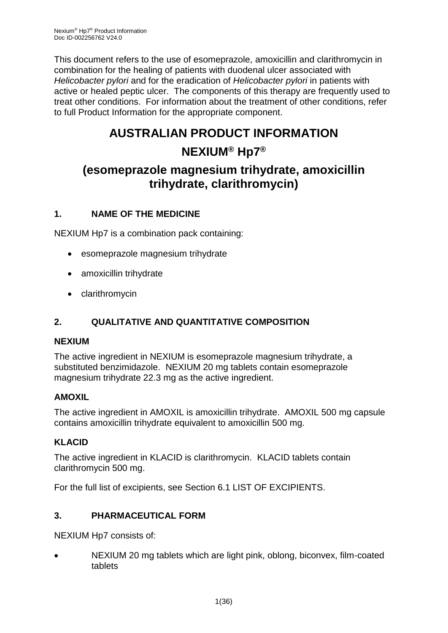This document refers to the use of esomeprazole, amoxicillin and clarithromycin in combination for the healing of patients with duodenal ulcer associated with *Helicobacter pylori* and for the eradication of *Helicobacter pylori* in patients with active or healed peptic ulcer. The components of this therapy are frequently used to treat other conditions. For information about the treatment of other conditions, refer to full Product Information for the appropriate component.

# **AUSTRALIAN PRODUCT INFORMATION**

## **NEXIUM® Hp7®**

## **(esomeprazole magnesium trihydrate, amoxicillin trihydrate, clarithromycin)**

## **1. NAME OF THE MEDICINE**

NEXIUM Hp7 is a combination pack containing:

- esomeprazole magnesium trihydrate
- amoxicillin trihydrate
- clarithromycin

## **2. QUALITATIVE AND QUANTITATIVE COMPOSITION**

## **NEXIUM**

The active ingredient in NEXIUM is esomeprazole magnesium trihydrate, a substituted benzimidazole. NEXIUM 20 mg tablets contain esomeprazole magnesium trihydrate 22.3 mg as the active ingredient.

## **AMOXIL**

The active ingredient in AMOXIL is amoxicillin trihydrate. AMOXIL 500 mg capsule contains amoxicillin trihydrate equivalent to amoxicillin 500 mg.

## **KLACID**

The active ingredient in KLACID is clarithromycin. KLACID tablets contain clarithromycin 500 mg.

For the full list of excipients, see Section 6.1 LIST OF EXCIPIENTS.

## **3. PHARMACEUTICAL FORM**

NEXIUM Hp7 consists of:

 NEXIUM 20 mg tablets which are light pink, oblong, biconvex, film-coated tablets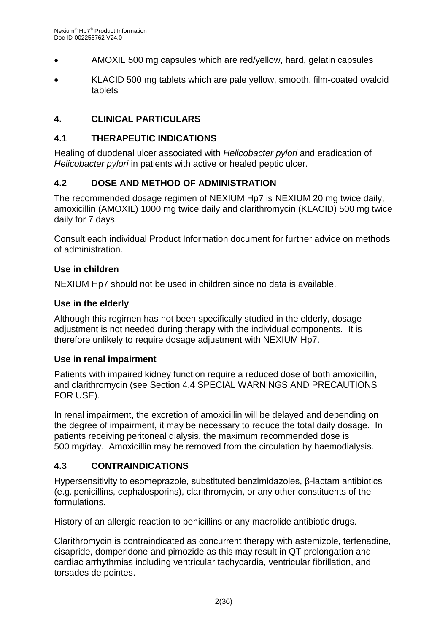- AMOXIL 500 mg capsules which are red/yellow, hard, gelatin capsules
- KLACID 500 mg tablets which are pale yellow, smooth, film-coated ovaloid tablets

## **4. CLINICAL PARTICULARS**

#### **4.1 THERAPEUTIC INDICATIONS**

Healing of duodenal ulcer associated with *Helicobacter pylori* and eradication of *Helicobacter pylori* in patients with active or healed peptic ulcer.

## **4.2 DOSE AND METHOD OF ADMINISTRATION**

The recommended dosage regimen of NEXIUM Hp7 is NEXIUM 20 mg twice daily, amoxicillin (AMOXIL) 1000 mg twice daily and clarithromycin (KLACID) 500 mg twice daily for 7 days.

Consult each individual Product Information document for further advice on methods of administration.

#### **Use in children**

NEXIUM Hp7 should not be used in children since no data is available.

#### **Use in the elderly**

Although this regimen has not been specifically studied in the elderly, dosage adjustment is not needed during therapy with the individual components. It is therefore unlikely to require dosage adjustment with NEXIUM Hp7.

#### **Use in renal impairment**

Patients with impaired kidney function require a reduced dose of both amoxicillin, and clarithromycin (see Section 4.4 SPECIAL WARNINGS AND PRECAUTIONS FOR USE).

In renal impairment, the excretion of amoxicillin will be delayed and depending on the degree of impairment, it may be necessary to reduce the total daily dosage. In patients receiving peritoneal dialysis, the maximum recommended dose is 500 mg/day. Amoxicillin may be removed from the circulation by haemodialysis.

## **4.3 CONTRAINDICATIONS**

Hypersensitivity to esomeprazole, substituted benzimidazoles, β-lactam antibiotics (e.g. penicillins, cephalosporins), clarithromycin, or any other constituents of the formulations.

History of an allergic reaction to penicillins or any macrolide antibiotic drugs.

Clarithromycin is contraindicated as concurrent therapy with astemizole, terfenadine, cisapride, domperidone and pimozide as this may result in QT prolongation and cardiac arrhythmias including ventricular tachycardia, ventricular fibrillation, and torsades de pointes.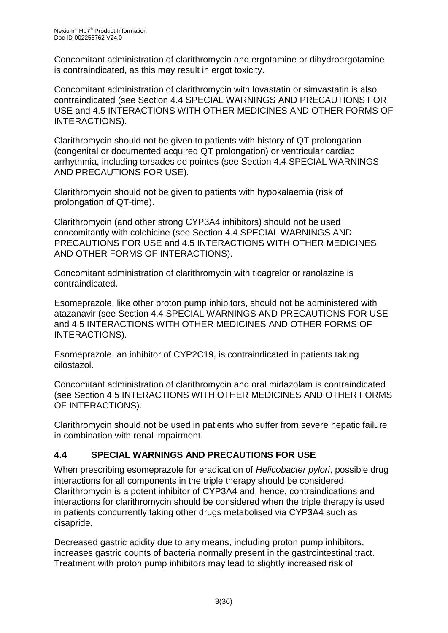Concomitant administration of clarithromycin and ergotamine or dihydroergotamine is contraindicated, as this may result in ergot toxicity.

Concomitant administration of clarithromycin with lovastatin or simvastatin is also contraindicated (see Section 4.4 SPECIAL WARNINGS AND PRECAUTIONS FOR USE and 4.5 INTERACTIONS WITH OTHER MEDICINES AND OTHER FORMS OF INTERACTIONS).

Clarithromycin should not be given to patients with history of QT prolongation (congenital or documented acquired QT prolongation) or ventricular cardiac arrhythmia, including torsades de pointes (see Section 4.4 SPECIAL WARNINGS AND PRECAUTIONS FOR USE).

Clarithromycin should not be given to patients with hypokalaemia (risk of prolongation of QT-time).

Clarithromycin (and other strong CYP3A4 inhibitors) should not be used concomitantly with colchicine (see Section 4.4 SPECIAL WARNINGS AND PRECAUTIONS FOR USE and 4.5 INTERACTIONS WITH OTHER MEDICINES AND OTHER FORMS OF INTERACTIONS).

Concomitant administration of clarithromycin with ticagrelor or ranolazine is contraindicated.

Esomeprazole, like other proton pump inhibitors, should not be administered with atazanavir (see Section 4.4 SPECIAL WARNINGS AND PRECAUTIONS FOR USE and 4.5 INTERACTIONS WITH OTHER MEDICINES AND OTHER FORMS OF INTERACTIONS).

Esomeprazole, an inhibitor of CYP2C19, is contraindicated in patients taking cilostazol.

Concomitant administration of clarithromycin and oral midazolam is contraindicated (see Section 4.5 INTERACTIONS WITH OTHER MEDICINES AND OTHER FORMS OF INTERACTIONS).

Clarithromycin should not be used in patients who suffer from severe hepatic failure in combination with renal impairment.

## **4.4 SPECIAL WARNINGS AND PRECAUTIONS FOR USE**

When prescribing esomeprazole for eradication of *Helicobacter pylori*, possible drug interactions for all components in the triple therapy should be considered. Clarithromycin is a potent inhibitor of CYP3A4 and, hence, contraindications and interactions for clarithromycin should be considered when the triple therapy is used in patients concurrently taking other drugs metabolised via CYP3A4 such as cisapride.

Decreased gastric acidity due to any means, including proton pump inhibitors, increases gastric counts of bacteria normally present in the gastrointestinal tract. Treatment with proton pump inhibitors may lead to slightly increased risk of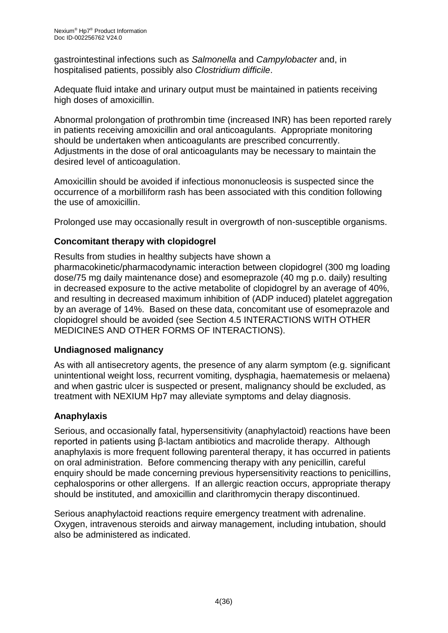gastrointestinal infections such as *Salmonella* and *Campylobacter* and, in hospitalised patients, possibly also *Clostridium difficile*.

Adequate fluid intake and urinary output must be maintained in patients receiving high doses of amoxicillin.

Abnormal prolongation of prothrombin time (increased INR) has been reported rarely in patients receiving amoxicillin and oral anticoagulants. Appropriate monitoring should be undertaken when anticoagulants are prescribed concurrently. Adjustments in the dose of oral anticoagulants may be necessary to maintain the desired level of anticoagulation.

Amoxicillin should be avoided if infectious mononucleosis is suspected since the occurrence of a morbilliform rash has been associated with this condition following the use of amoxicillin.

Prolonged use may occasionally result in overgrowth of non-susceptible organisms.

## **Concomitant therapy with clopidogrel**

Results from studies in healthy subjects have shown a pharmacokinetic/pharmacodynamic interaction between clopidogrel (300 mg loading dose/75 mg daily maintenance dose) and esomeprazole (40 mg p.o. daily) resulting in decreased exposure to the active metabolite of clopidogrel by an average of 40%, and resulting in decreased maximum inhibition of (ADP induced) platelet aggregation by an average of 14%. Based on these data, concomitant use of esomeprazole and clopidogrel should be avoided (see Section 4.5 INTERACTIONS WITH OTHER MEDICINES AND OTHER FORMS OF INTERACTIONS).

## **Undiagnosed malignancy**

As with all antisecretory agents, the presence of any alarm symptom (e.g. significant unintentional weight loss, recurrent vomiting, dysphagia, haematemesis or melaena) and when gastric ulcer is suspected or present, malignancy should be excluded, as treatment with NEXIUM Hp7 may alleviate symptoms and delay diagnosis.

## **Anaphylaxis**

Serious, and occasionally fatal, hypersensitivity (anaphylactoid) reactions have been reported in patients using β-lactam antibiotics and macrolide therapy. Although anaphylaxis is more frequent following parenteral therapy, it has occurred in patients on oral administration. Before commencing therapy with any penicillin, careful enquiry should be made concerning previous hypersensitivity reactions to penicillins, cephalosporins or other allergens. If an allergic reaction occurs, appropriate therapy should be instituted, and amoxicillin and clarithromycin therapy discontinued.

Serious anaphylactoid reactions require emergency treatment with adrenaline. Oxygen, intravenous steroids and airway management, including intubation, should also be administered as indicated.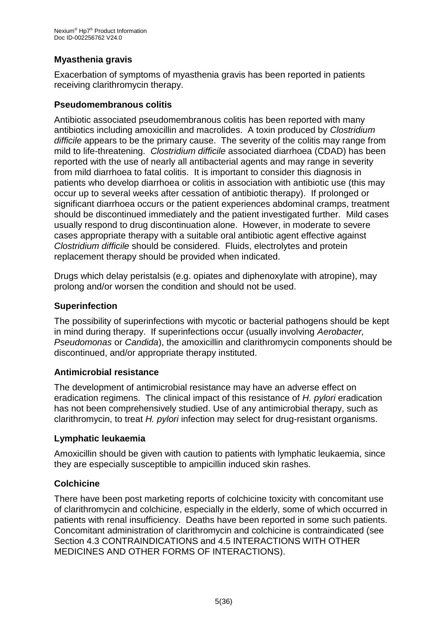## **Myasthenia gravis**

Exacerbation of symptoms of myasthenia gravis has been reported in patients receiving clarithromycin therapy.

#### **Pseudomembranous colitis**

Antibiotic associated pseudomembranous colitis has been reported with many antibiotics including amoxicillin and macrolides. A toxin produced by *Clostridium difficile* appears to be the primary cause. The severity of the colitis may range from mild to life-threatening. *Clostridium difficile* associated diarrhoea (CDAD) has been reported with the use of nearly all antibacterial agents and may range in severity from mild diarrhoea to fatal colitis. It is important to consider this diagnosis in patients who develop diarrhoea or colitis in association with antibiotic use (this may occur up to several weeks after cessation of antibiotic therapy). If prolonged or significant diarrhoea occurs or the patient experiences abdominal cramps, treatment should be discontinued immediately and the patient investigated further. Mild cases usually respond to drug discontinuation alone. However, in moderate to severe cases appropriate therapy with a suitable oral antibiotic agent effective against *Clostridium difficile* should be considered. Fluids, electrolytes and protein replacement therapy should be provided when indicated.

Drugs which delay peristalsis (e.g. opiates and diphenoxylate with atropine), may prolong and/or worsen the condition and should not be used.

#### **Superinfection**

The possibility of superinfections with mycotic or bacterial pathogens should be kept in mind during therapy. If superinfections occur (usually involving *Aerobacter, Pseudomonas* or *Candida*), the amoxicillin and clarithromycin components should be discontinued, and/or appropriate therapy instituted.

#### **Antimicrobial resistance**

The development of antimicrobial resistance may have an adverse effect on eradication regimens. The clinical impact of this resistance of *H. pylori* eradication has not been comprehensively studied. Use of any antimicrobial therapy, such as clarithromycin, to treat *H. pylori* infection may select for drug-resistant organisms.

#### **Lymphatic leukaemia**

Amoxicillin should be given with caution to patients with lymphatic leukaemia, since they are especially susceptible to ampicillin induced skin rashes.

## **Colchicine**

There have been post marketing reports of colchicine toxicity with concomitant use of clarithromycin and colchicine, especially in the elderly, some of which occurred in patients with renal insufficiency. Deaths have been reported in some such patients. Concomitant administration of clarithromycin and colchicine is contraindicated (see Section 4.3 CONTRAINDICATIONS and 4.5 INTERACTIONS WITH OTHER MEDICINES AND OTHER FORMS OF INTERACTIONS).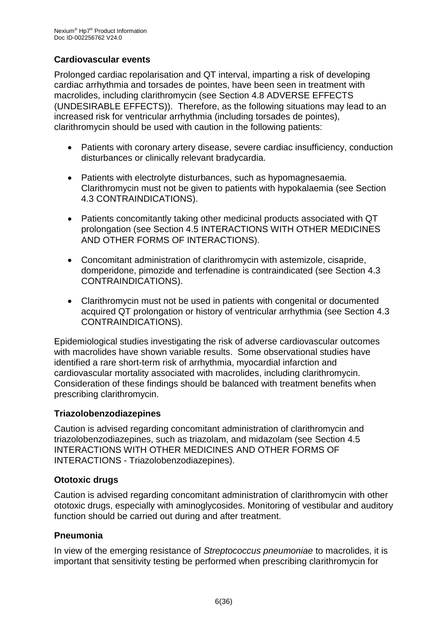## **Cardiovascular events**

Prolonged cardiac repolarisation and QT interval, imparting a risk of developing cardiac arrhythmia and torsades de pointes, have been seen in treatment with macrolides, including clarithromycin (see Section 4.8 ADVERSE EFFECTS (UNDESIRABLE EFFECTS)). Therefore, as the following situations may lead to an increased risk for ventricular arrhythmia (including torsades de pointes), clarithromycin should be used with caution in the following patients:

- Patients with coronary artery disease, severe cardiac insufficiency, conduction disturbances or clinically relevant bradycardia.
- Patients with electrolyte disturbances, such as hypomagnesaemia. Clarithromycin must not be given to patients with hypokalaemia (see Section 4.3 CONTRAINDICATIONS).
- Patients concomitantly taking other medicinal products associated with QT prolongation (see Section 4.5 INTERACTIONS WITH OTHER MEDICINES AND OTHER FORMS OF INTERACTIONS).
- Concomitant administration of clarithromycin with astemizole, cisapride, domperidone, pimozide and terfenadine is contraindicated (see Section 4.3 CONTRAINDICATIONS).
- Clarithromycin must not be used in patients with congenital or documented acquired QT prolongation or history of ventricular arrhythmia (see Section 4.3 CONTRAINDICATIONS).

Epidemiological studies investigating the risk of adverse cardiovascular outcomes with macrolides have shown variable results. Some observational studies have identified a rare short-term risk of arrhythmia, myocardial infarction and cardiovascular mortality associated with macrolides, including clarithromycin. Consideration of these findings should be balanced with treatment benefits when prescribing clarithromycin.

#### **Triazolobenzodiazepines**

Caution is advised regarding concomitant administration of clarithromycin and triazolobenzodiazepines, such as triazolam, and midazolam (see Section 4.5 INTERACTIONS WITH OTHER MEDICINES AND OTHER FORMS OF INTERACTIONS - Triazolobenzodiazepines).

## **Ototoxic drugs**

Caution is advised regarding concomitant administration of clarithromycin with other ototoxic drugs, especially with aminoglycosides. Monitoring of vestibular and auditory function should be carried out during and after treatment.

## **Pneumonia**

In view of the emerging resistance of *Streptococcus pneumoniae* to macrolides, it is important that sensitivity testing be performed when prescribing clarithromycin for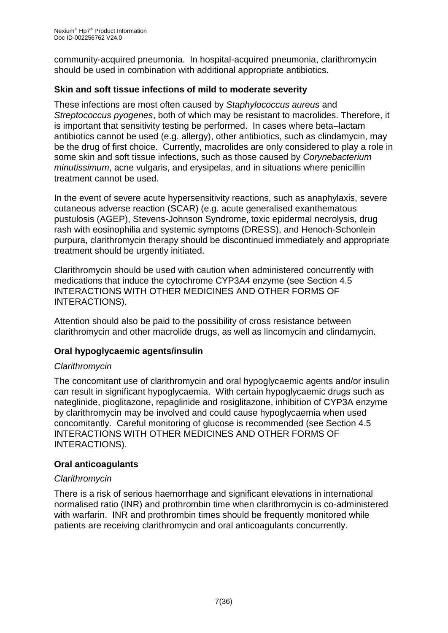community-acquired pneumonia. In hospital-acquired pneumonia, clarithromycin should be used in combination with additional appropriate antibiotics.

## **Skin and soft tissue infections of mild to moderate severity**

These infections are most often caused by *Staphylococcus aureus* and *Streptococcus pyogenes*, both of which may be resistant to macrolides. Therefore, it is important that sensitivity testing be performed. In cases where beta–lactam antibiotics cannot be used (e.g. allergy), other antibiotics, such as clindamycin, may be the drug of first choice. Currently, macrolides are only considered to play a role in some skin and soft tissue infections, such as those caused by *Corynebacterium minutissimum*, acne vulgaris, and erysipelas, and in situations where penicillin treatment cannot be used.

In the event of severe acute hypersensitivity reactions, such as anaphylaxis, severe cutaneous adverse reaction (SCAR) (e.g. acute generalised exanthematous pustulosis (AGEP), Stevens-Johnson Syndrome, toxic epidermal necrolysis, drug rash with eosinophilia and systemic symptoms (DRESS), and Henoch-Schonlein purpura, clarithromycin therapy should be discontinued immediately and appropriate treatment should be urgently initiated.

Clarithromycin should be used with caution when administered concurrently with medications that induce the cytochrome CYP3A4 enzyme (see Section 4.5 INTERACTIONS WITH OTHER MEDICINES AND OTHER FORMS OF INTERACTIONS).

Attention should also be paid to the possibility of cross resistance between clarithromycin and other macrolide drugs, as well as lincomycin and clindamycin.

## **Oral hypoglycaemic agents/insulin**

## *Clarithromycin*

The concomitant use of clarithromycin and oral hypoglycaemic agents and/or insulin can result in significant hypoglycaemia. With certain hypoglycaemic drugs such as nateglinide, pioglitazone, repaglinide and rosiglitazone, inhibition of CYP3A enzyme by clarithromycin may be involved and could cause hypoglycaemia when used concomitantly. Careful monitoring of glucose is recommended (see Section 4.5 INTERACTIONS WITH OTHER MEDICINES AND OTHER FORMS OF INTERACTIONS).

## **Oral anticoagulants**

## *Clarithromycin*

There is a risk of serious haemorrhage and significant elevations in international normalised ratio (INR) and prothrombin time when clarithromycin is co-administered with warfarin. INR and prothrombin times should be frequently monitored while patients are receiving clarithromycin and oral anticoagulants concurrently.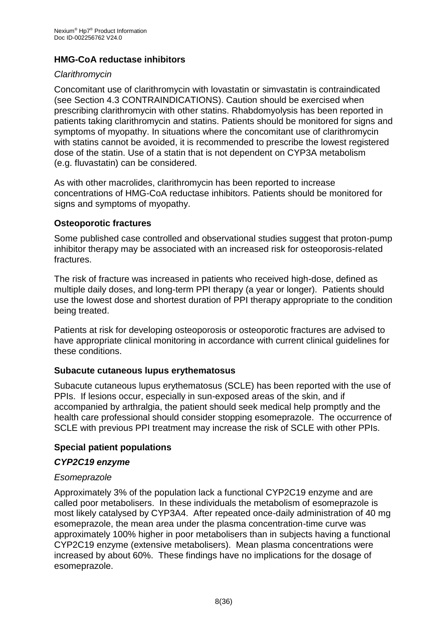## **HMG-CoA reductase inhibitors**

#### *Clarithromycin*

Concomitant use of clarithromycin with lovastatin or simvastatin is contraindicated (see Section 4.3 CONTRAINDICATIONS). Caution should be exercised when prescribing clarithromycin with other statins. Rhabdomyolysis has been reported in patients taking clarithromycin and statins. Patients should be monitored for signs and symptoms of myopathy. In situations where the concomitant use of clarithromycin with statins cannot be avoided, it is recommended to prescribe the lowest registered dose of the statin. Use of a statin that is not dependent on CYP3A metabolism (e.g. fluvastatin) can be considered.

As with other macrolides, clarithromycin has been reported to increase concentrations of HMG-CoA reductase inhibitors. Patients should be monitored for signs and symptoms of myopathy.

#### **Osteoporotic fractures**

Some published case controlled and observational studies suggest that proton-pump inhibitor therapy may be associated with an increased risk for osteoporosis-related fractures.

The risk of fracture was increased in patients who received high-dose, defined as multiple daily doses, and long-term PPI therapy (a year or longer). Patients should use the lowest dose and shortest duration of PPI therapy appropriate to the condition being treated.

Patients at risk for developing osteoporosis or osteoporotic fractures are advised to have appropriate clinical monitoring in accordance with current clinical guidelines for these conditions.

#### **Subacute cutaneous lupus erythematosus**

Subacute cutaneous lupus erythematosus (SCLE) has been reported with the use of PPIs. If lesions occur, especially in sun-exposed areas of the skin, and if accompanied by arthralgia, the patient should seek medical help promptly and the health care professional should consider stopping esomeprazole. The occurrence of SCLE with previous PPI treatment may increase the risk of SCLE with other PPIs.

#### **Special patient populations**

#### *CYP2C19 enzyme*

#### *Esomeprazole*

Approximately 3% of the population lack a functional CYP2C19 enzyme and are called poor metabolisers. In these individuals the metabolism of esomeprazole is most likely catalysed by CYP3A4. After repeated once-daily administration of 40 mg esomeprazole, the mean area under the plasma concentration-time curve was approximately 100% higher in poor metabolisers than in subjects having a functional CYP2C19 enzyme (extensive metabolisers). Mean plasma concentrations were increased by about 60%. These findings have no implications for the dosage of esomeprazole.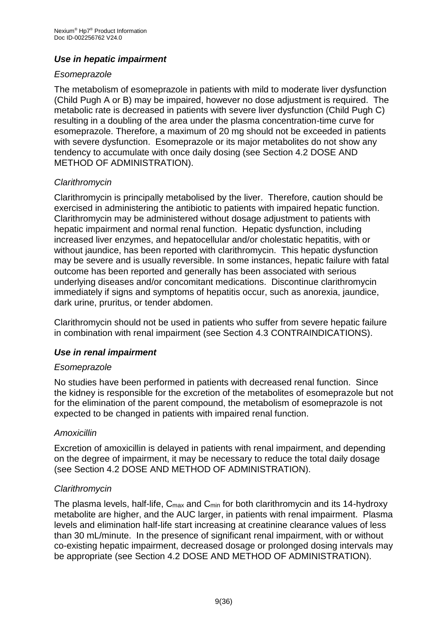## *Use in hepatic impairment*

#### *Esomeprazole*

The metabolism of esomeprazole in patients with mild to moderate liver dysfunction (Child Pugh A or B) may be impaired, however no dose adjustment is required. The metabolic rate is decreased in patients with severe liver dysfunction (Child Pugh C) resulting in a doubling of the area under the plasma concentration-time curve for esomeprazole. Therefore, a maximum of 20 mg should not be exceeded in patients with severe dysfunction. Esomeprazole or its major metabolites do not show any tendency to accumulate with once daily dosing (see Section 4.2 DOSE AND METHOD OF ADMINISTRATION).

## *Clarithromycin*

Clarithromycin is principally metabolised by the liver. Therefore, caution should be exercised in administering the antibiotic to patients with impaired hepatic function. Clarithromycin may be administered without dosage adjustment to patients with hepatic impairment and normal renal function. Hepatic dysfunction, including increased liver enzymes, and hepatocellular and/or cholestatic hepatitis, with or without jaundice, has been reported with clarithromycin. This hepatic dysfunction may be severe and is usually reversible. In some instances, hepatic failure with fatal outcome has been reported and generally has been associated with serious underlying diseases and/or concomitant medications. Discontinue clarithromycin immediately if signs and symptoms of hepatitis occur, such as anorexia, jaundice, dark urine, pruritus, or tender abdomen.

Clarithromycin should not be used in patients who suffer from severe hepatic failure in combination with renal impairment (see Section 4.3 CONTRAINDICATIONS).

## *Use in renal impairment*

#### *Esomeprazole*

No studies have been performed in patients with decreased renal function. Since the kidney is responsible for the excretion of the metabolites of esomeprazole but not for the elimination of the parent compound, the metabolism of esomeprazole is not expected to be changed in patients with impaired renal function.

## *Amoxicillin*

Excretion of amoxicillin is delayed in patients with renal impairment, and depending on the degree of impairment, it may be necessary to reduce the total daily dosage (see Section 4.2 DOSE AND METHOD OF ADMINISTRATION).

## *Clarithromycin*

The plasma levels, half-life, C<sub>max</sub> and C<sub>min</sub> for both clarithromycin and its 14-hydroxy metabolite are higher, and the AUC larger, in patients with renal impairment. Plasma levels and elimination half-life start increasing at creatinine clearance values of less than 30 mL/minute. In the presence of significant renal impairment, with or without co-existing hepatic impairment, decreased dosage or prolonged dosing intervals may be appropriate (see Section 4.2 DOSE AND METHOD OF ADMINISTRATION).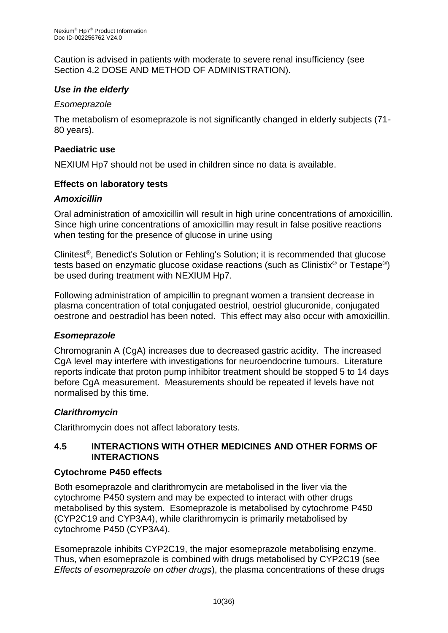Caution is advised in patients with moderate to severe renal insufficiency (see Section 4.2 DOSE AND METHOD OF ADMINISTRATION).

## *Use in the elderly*

#### *Esomeprazole*

The metabolism of esomeprazole is not significantly changed in elderly subjects (71- 80 years).

#### **Paediatric use**

NEXIUM Hp7 should not be used in children since no data is available.

#### **Effects on laboratory tests**

#### *Amoxicillin*

Oral administration of amoxicillin will result in high urine concentrations of amoxicillin. Since high urine concentrations of amoxicillin may result in false positive reactions when testing for the presence of glucose in urine using

Clinitest®, Benedict's Solution or Fehling's Solution; it is recommended that glucose tests based on enzymatic glucose oxidase reactions (such as Clinistix® or Testape®) be used during treatment with NEXIUM Hp7.

Following administration of ampicillin to pregnant women a transient decrease in plasma concentration of total conjugated oestriol, oestriol glucuronide, conjugated oestrone and oestradiol has been noted. This effect may also occur with amoxicillin.

## *Esomeprazole*

Chromogranin A (CgA) increases due to decreased gastric acidity. The increased CgA level may interfere with investigations for neuroendocrine tumours. Literature reports indicate that proton pump inhibitor treatment should be stopped 5 to 14 days before CgA measurement. Measurements should be repeated if levels have not normalised by this time.

## *Clarithromycin*

Clarithromycin does not affect laboratory tests.

#### **4.5 INTERACTIONS WITH OTHER MEDICINES AND OTHER FORMS OF INTERACTIONS**

## **Cytochrome P450 effects**

Both esomeprazole and clarithromycin are metabolised in the liver via the cytochrome P450 system and may be expected to interact with other drugs metabolised by this system. Esomeprazole is metabolised by cytochrome P450 (CYP2C19 and CYP3A4), while clarithromycin is primarily metabolised by cytochrome P450 (CYP3A4).

Esomeprazole inhibits CYP2C19, the major esomeprazole metabolising enzyme. Thus, when esomeprazole is combined with drugs metabolised by CYP2C19 (see *Effects of esomeprazole on other drugs*), the plasma concentrations of these drugs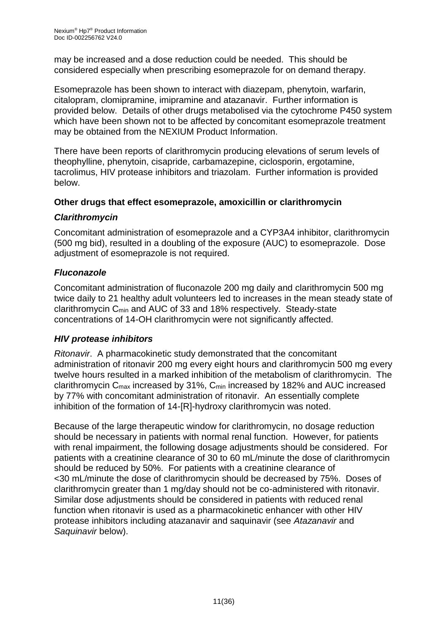may be increased and a dose reduction could be needed. This should be considered especially when prescribing esomeprazole for on demand therapy.

Esomeprazole has been shown to interact with diazepam, phenytoin, warfarin, citalopram, clomipramine, imipramine and atazanavir. Further information is provided below. Details of other drugs metabolised via the cytochrome P450 system which have been shown not to be affected by concomitant esomeprazole treatment may be obtained from the NEXIUM Product Information.

There have been reports of clarithromycin producing elevations of serum levels of theophylline, phenytoin, cisapride, carbamazepine, ciclosporin, ergotamine, tacrolimus, HIV protease inhibitors and triazolam. Further information is provided below.

## **Other drugs that effect esomeprazole, amoxicillin or clarithromycin**

## *Clarithromycin*

Concomitant administration of esomeprazole and a CYP3A4 inhibitor, clarithromycin (500 mg bid), resulted in a doubling of the exposure (AUC) to esomeprazole. Dose adjustment of esomeprazole is not required.

## *Fluconazole*

Concomitant administration of fluconazole 200 mg daily and clarithromycin 500 mg twice daily to 21 healthy adult volunteers led to increases in the mean steady state of clarithromycin Cmin and AUC of 33 and 18% respectively. Steady-state concentrations of 14-OH clarithromycin were not significantly affected.

## *HIV protease inhibitors*

*Ritonavir*. A pharmacokinetic study demonstrated that the concomitant administration of ritonavir 200 mg every eight hours and clarithromycin 500 mg every twelve hours resulted in a marked inhibition of the metabolism of clarithromycin. The clarithromycin Cmax increased by 31%, Cmin increased by 182% and AUC increased by 77% with concomitant administration of ritonavir. An essentially complete inhibition of the formation of 14-[R]-hydroxy clarithromycin was noted.

Because of the large therapeutic window for clarithromycin, no dosage reduction should be necessary in patients with normal renal function. However, for patients with renal impairment, the following dosage adjustments should be considered. For patients with a creatinine clearance of 30 to 60 mL/minute the dose of clarithromycin should be reduced by 50%. For patients with a creatinine clearance of <30 mL/minute the dose of clarithromycin should be decreased by 75%. Doses of clarithromycin greater than 1 mg/day should not be co-administered with ritonavir. Similar dose adjustments should be considered in patients with reduced renal function when ritonavir is used as a pharmacokinetic enhancer with other HIV protease inhibitors including atazanavir and saquinavir (see *Atazanavir* and *Saquinavir* below).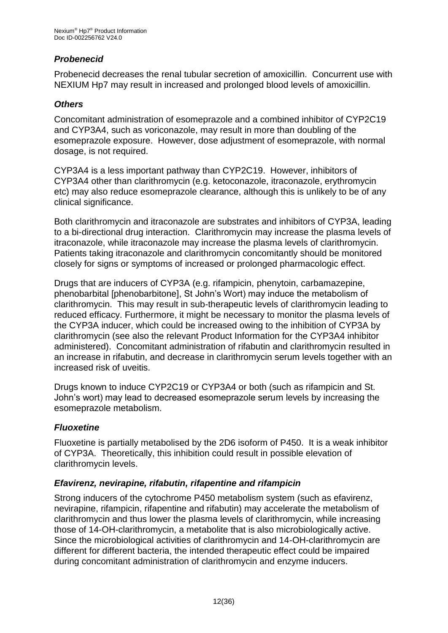## *Probenecid*

Probenecid decreases the renal tubular secretion of amoxicillin. Concurrent use with NEXIUM Hp7 may result in increased and prolonged blood levels of amoxicillin.

## *Others*

Concomitant administration of esomeprazole and a combined inhibitor of CYP2C19 and CYP3A4, such as voriconazole, may result in more than doubling of the esomeprazole exposure. However, dose adjustment of esomeprazole, with normal dosage, is not required.

CYP3A4 is a less important pathway than CYP2C19. However, inhibitors of CYP3A4 other than clarithromycin (e.g. ketoconazole, itraconazole, erythromycin etc) may also reduce esomeprazole clearance, although this is unlikely to be of any clinical significance.

Both clarithromycin and itraconazole are substrates and inhibitors of CYP3A, leading to a bi-directional drug interaction. Clarithromycin may increase the plasma levels of itraconazole, while itraconazole may increase the plasma levels of clarithromycin. Patients taking itraconazole and clarithromycin concomitantly should be monitored closely for signs or symptoms of increased or prolonged pharmacologic effect.

Drugs that are inducers of CYP3A (e.g. rifampicin, phenytoin, carbamazepine, phenobarbital [phenobarbitone], St John's Wort) may induce the metabolism of clarithromycin. This may result in sub-therapeutic levels of clarithromycin leading to reduced efficacy. Furthermore, it might be necessary to monitor the plasma levels of the CYP3A inducer, which could be increased owing to the inhibition of CYP3A by clarithromycin (see also the relevant Product Information for the CYP3A4 inhibitor administered). Concomitant administration of rifabutin and clarithromycin resulted in an increase in rifabutin, and decrease in clarithromycin serum levels together with an increased risk of uveitis.

Drugs known to induce CYP2C19 or CYP3A4 or both (such as rifampicin and St. John's wort) may lead to decreased esomeprazole serum levels by increasing the esomeprazole metabolism.

## *Fluoxetine*

Fluoxetine is partially metabolised by the 2D6 isoform of P450. It is a weak inhibitor of CYP3A. Theoretically, this inhibition could result in possible elevation of clarithromycin levels.

## *Efavirenz, nevirapine, rifabutin, rifapentine and rifampicin*

Strong inducers of the cytochrome P450 metabolism system (such as efavirenz, nevirapine, rifampicin, rifapentine and rifabutin) may accelerate the metabolism of clarithromycin and thus lower the plasma levels of clarithromycin, while increasing those of 14-OH-clarithromycin, a metabolite that is also microbiologically active. Since the microbiological activities of clarithromycin and 14-OH-clarithromycin are different for different bacteria, the intended therapeutic effect could be impaired during concomitant administration of clarithromycin and enzyme inducers.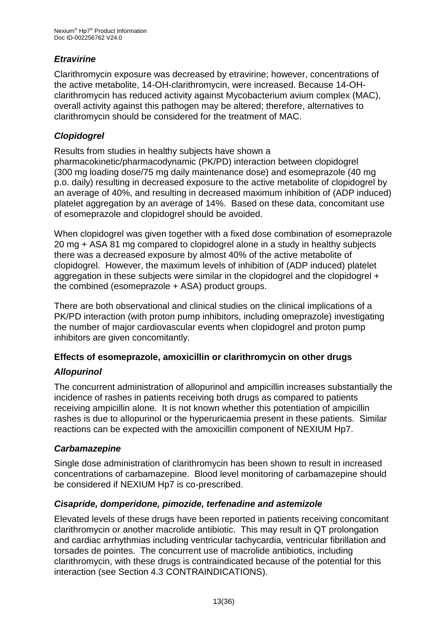## *Etravirine*

Clarithromycin exposure was decreased by etravirine; however, concentrations of the active metabolite, 14-OH-clarithromycin, were increased. Because 14-OHclarithromycin has reduced activity against Mycobacterium avium complex (MAC), overall activity against this pathogen may be altered; therefore, alternatives to clarithromycin should be considered for the treatment of MAC.

## *Clopidogrel*

Results from studies in healthy subjects have shown a pharmacokinetic/pharmacodynamic (PK/PD) interaction between clopidogrel (300 mg loading dose/75 mg daily maintenance dose) and esomeprazole (40 mg p.o. daily) resulting in decreased exposure to the active metabolite of clopidogrel by an average of 40%, and resulting in decreased maximum inhibition of (ADP induced) platelet aggregation by an average of 14%. Based on these data, concomitant use of esomeprazole and clopidogrel should be avoided.

When clopidogrel was given together with a fixed dose combination of esomeprazole 20 mg + ASA 81 mg compared to clopidogrel alone in a study in healthy subjects there was a decreased exposure by almost 40% of the active metabolite of clopidogrel. However, the maximum levels of inhibition of (ADP induced) platelet aggregation in these subjects were similar in the clopidogrel and the clopidogrel + the combined (esomeprazole + ASA) product groups.

There are both observational and clinical studies on the clinical implications of a PK/PD interaction (with proton pump inhibitors, including omeprazole) investigating the number of major cardiovascular events when clopidogrel and proton pump inhibitors are given concomitantly.

## **Effects of esomeprazole, amoxicillin or clarithromycin on other drugs**

## *Allopurinol*

The concurrent administration of allopurinol and ampicillin increases substantially the incidence of rashes in patients receiving both drugs as compared to patients receiving ampicillin alone. It is not known whether this potentiation of ampicillin rashes is due to allopurinol or the hyperuricaemia present in these patients. Similar reactions can be expected with the amoxicillin component of NEXIUM Hp7.

## *Carbamazepine*

Single dose administration of clarithromycin has been shown to result in increased concentrations of carbamazepine. Blood level monitoring of carbamazepine should be considered if NEXIUM Hp7 is co-prescribed.

## *Cisapride, domperidone, pimozide, terfenadine and astemizole*

Elevated levels of these drugs have been reported in patients receiving concomitant clarithromycin or another macrolide antibiotic. This may result in QT prolongation and cardiac arrhythmias including ventricular tachycardia, ventricular fibrillation and torsades de pointes. The concurrent use of macrolide antibiotics, including clarithromycin, with these drugs is contraindicated because of the potential for this interaction (see Section 4.3 CONTRAINDICATIONS).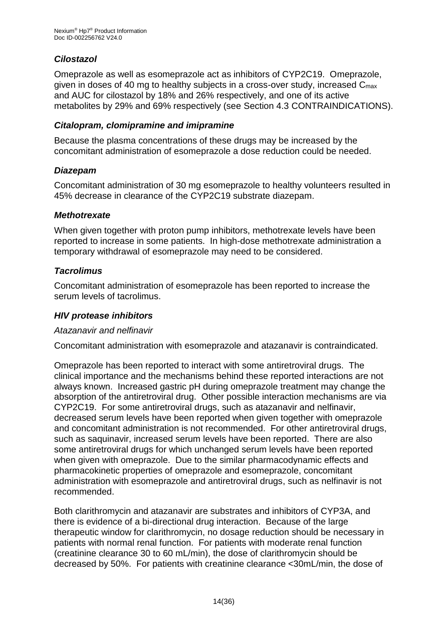## *Cilostazol*

Omeprazole as well as esomeprazole act as inhibitors of CYP2C19. Omeprazole, given in doses of 40 mg to healthy subjects in a cross-over study, increased Cmax and AUC for cilostazol by 18% and 26% respectively, and one of its active metabolites by 29% and 69% respectively (see Section 4.3 CONTRAINDICATIONS).

#### *Citalopram, clomipramine and imipramine*

Because the plasma concentrations of these drugs may be increased by the concomitant administration of esomeprazole a dose reduction could be needed.

#### *Diazepam*

Concomitant administration of 30 mg esomeprazole to healthy volunteers resulted in 45% decrease in clearance of the CYP2C19 substrate diazepam.

#### *Methotrexate*

When given together with proton pump inhibitors, methotrexate levels have been reported to increase in some patients. In high-dose methotrexate administration a temporary withdrawal of esomeprazole may need to be considered.

## *Tacrolimus*

Concomitant administration of esomeprazole has been reported to increase the serum levels of tacrolimus.

## *HIV protease inhibitors*

#### *Atazanavir and nelfinavir*

Concomitant administration with esomeprazole and atazanavir is contraindicated.

Omeprazole has been reported to interact with some antiretroviral drugs. The clinical importance and the mechanisms behind these reported interactions are not always known. Increased gastric pH during omeprazole treatment may change the absorption of the antiretroviral drug. Other possible interaction mechanisms are via CYP2C19. For some antiretroviral drugs, such as atazanavir and nelfinavir, decreased serum levels have been reported when given together with omeprazole and concomitant administration is not recommended. For other antiretroviral drugs, such as saquinavir, increased serum levels have been reported. There are also some antiretroviral drugs for which unchanged serum levels have been reported when given with omeprazole. Due to the similar pharmacodynamic effects and pharmacokinetic properties of omeprazole and esomeprazole, concomitant administration with esomeprazole and antiretroviral drugs, such as nelfinavir is not recommended.

Both clarithromycin and atazanavir are substrates and inhibitors of CYP3A, and there is evidence of a bi-directional drug interaction. Because of the large therapeutic window for clarithromycin, no dosage reduction should be necessary in patients with normal renal function. For patients with moderate renal function (creatinine clearance 30 to 60 mL/min), the dose of clarithromycin should be decreased by 50%. For patients with creatinine clearance <30mL/min, the dose of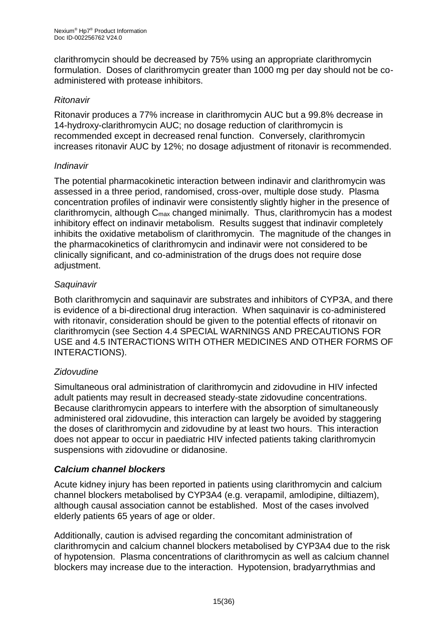clarithromycin should be decreased by 75% using an appropriate clarithromycin formulation. Doses of clarithromycin greater than 1000 mg per day should not be coadministered with protease inhibitors.

#### *Ritonavir*

Ritonavir produces a 77% increase in clarithromycin AUC but a 99.8% decrease in 14-hydroxy-clarithromycin AUC; no dosage reduction of clarithromycin is recommended except in decreased renal function. Conversely, clarithromycin increases ritonavir AUC by 12%; no dosage adjustment of ritonavir is recommended.

#### *Indinavir*

The potential pharmacokinetic interaction between indinavir and clarithromycin was assessed in a three period, randomised, cross-over, multiple dose study. Plasma concentration profiles of indinavir were consistently slightly higher in the presence of clarithromycin, although  $C_{\text{max}}$  changed minimally. Thus, clarithromycin has a modest inhibitory effect on indinavir metabolism. Results suggest that indinavir completely inhibits the oxidative metabolism of clarithromycin. The magnitude of the changes in the pharmacokinetics of clarithromycin and indinavir were not considered to be clinically significant, and co-administration of the drugs does not require dose adjustment.

## *Saquinavir*

Both clarithromycin and saquinavir are substrates and inhibitors of CYP3A, and there is evidence of a bi-directional drug interaction. When saquinavir is co-administered with ritonavir, consideration should be given to the potential effects of ritonavir on clarithromycin (see Section 4.4 SPECIAL WARNINGS AND PRECAUTIONS FOR USE and 4.5 INTERACTIONS WITH OTHER MEDICINES AND OTHER FORMS OF INTERACTIONS).

## *Zidovudine*

Simultaneous oral administration of clarithromycin and zidovudine in HIV infected adult patients may result in decreased steady-state zidovudine concentrations. Because clarithromycin appears to interfere with the absorption of simultaneously administered oral zidovudine, this interaction can largely be avoided by staggering the doses of clarithromycin and zidovudine by at least two hours. This interaction does not appear to occur in paediatric HIV infected patients taking clarithromycin suspensions with zidovudine or didanosine.

## *Calcium channel blockers*

Acute kidney injury has been reported in patients using clarithromycin and calcium channel blockers metabolised by CYP3A4 (e.g. verapamil, amlodipine, diltiazem), although causal association cannot be established. Most of the cases involved elderly patients 65 years of age or older.

Additionally, caution is advised regarding the concomitant administration of clarithromycin and calcium channel blockers metabolised by CYP3A4 due to the risk of hypotension. Plasma concentrations of clarithromycin as well as calcium channel blockers may increase due to the interaction. Hypotension, bradyarrythmias and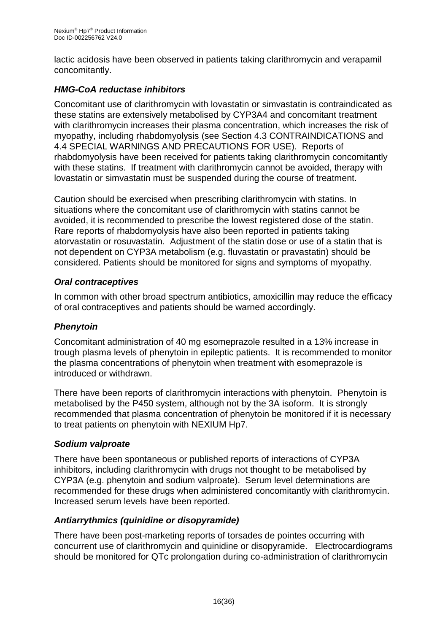lactic acidosis have been observed in patients taking clarithromycin and verapamil concomitantly.

## *HMG-CoA reductase inhibitors*

Concomitant use of clarithromycin with lovastatin or simvastatin is contraindicated as these statins are extensively metabolised by CYP3A4 and concomitant treatment with clarithromycin increases their plasma concentration, which increases the risk of myopathy, including rhabdomyolysis (see Section 4.3 CONTRAINDICATIONS and 4.4 SPECIAL WARNINGS AND PRECAUTIONS FOR USE). Reports of rhabdomyolysis have been received for patients taking clarithromycin concomitantly with these statins. If treatment with clarithromycin cannot be avoided, therapy with lovastatin or simvastatin must be suspended during the course of treatment.

Caution should be exercised when prescribing clarithromycin with statins. In situations where the concomitant use of clarithromycin with statins cannot be avoided, it is recommended to prescribe the lowest registered dose of the statin. Rare reports of rhabdomyolysis have also been reported in patients taking atorvastatin or rosuvastatin. Adjustment of the statin dose or use of a statin that is not dependent on CYP3A metabolism (e.g. fluvastatin or pravastatin) should be considered. Patients should be monitored for signs and symptoms of myopathy.

## *Oral contraceptives*

In common with other broad spectrum antibiotics, amoxicillin may reduce the efficacy of oral contraceptives and patients should be warned accordingly.

## *Phenytoin*

Concomitant administration of 40 mg esomeprazole resulted in a 13% increase in trough plasma levels of phenytoin in epileptic patients. It is recommended to monitor the plasma concentrations of phenytoin when treatment with esomeprazole is introduced or withdrawn.

There have been reports of clarithromycin interactions with phenytoin. Phenytoin is metabolised by the P450 system, although not by the 3A isoform. It is strongly recommended that plasma concentration of phenytoin be monitored if it is necessary to treat patients on phenytoin with NEXIUM Hp7.

## *Sodium valproate*

There have been spontaneous or published reports of interactions of CYP3A inhibitors, including clarithromycin with drugs not thought to be metabolised by CYP3A (e.g. phenytoin and sodium valproate). Serum level determinations are recommended for these drugs when administered concomitantly with clarithromycin. Increased serum levels have been reported.

## *Antiarrythmics (quinidine or disopyramide)*

There have been post-marketing reports of torsades de pointes occurring with concurrent use of clarithromycin and quinidine or disopyramide. Electrocardiograms should be monitored for QTc prolongation during co-administration of clarithromycin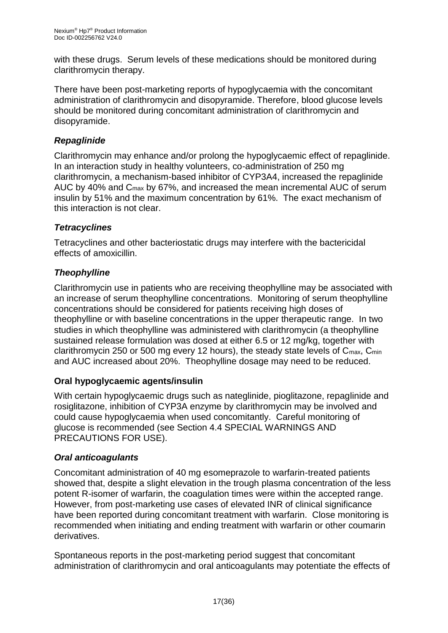with these drugs. Serum levels of these medications should be monitored during clarithromycin therapy.

There have been post-marketing reports of hypoglycaemia with the concomitant administration of clarithromycin and disopyramide. Therefore, blood glucose levels should be monitored during concomitant administration of clarithromycin and disopyramide.

## *Repaglinide*

Clarithromycin may enhance and/or prolong the hypoglycaemic effect of repaglinide. In an interaction study in healthy volunteers, co-administration of 250 mg clarithromycin, a mechanism-based inhibitor of CYP3A4, increased the repaglinide AUC by 40% and Cmax by 67%, and increased the mean incremental AUC of serum insulin by 51% and the maximum concentration by 61%. The exact mechanism of this interaction is not clear.

## *Tetracyclines*

Tetracyclines and other bacteriostatic drugs may interfere with the bactericidal effects of amoxicillin.

## *Theophylline*

Clarithromycin use in patients who are receiving theophylline may be associated with an increase of serum theophylline concentrations. Monitoring of serum theophylline concentrations should be considered for patients receiving high doses of theophylline or with baseline concentrations in the upper therapeutic range. In two studies in which theophylline was administered with clarithromycin (a theophylline sustained release formulation was dosed at either 6.5 or 12 mg/kg, together with clarithromycin 250 or 500 mg every 12 hours), the steady state levels of  $C_{\text{max}}$ ,  $C_{\text{min}}$ and AUC increased about 20%. Theophylline dosage may need to be reduced.

## **Oral hypoglycaemic agents/insulin**

With certain hypoglycaemic drugs such as nateglinide, pioglitazone, repaglinide and rosiglitazone, inhibition of CYP3A enzyme by clarithromycin may be involved and could cause hypoglycaemia when used concomitantly. Careful monitoring of glucose is recommended (see Section 4.4 SPECIAL WARNINGS AND PRECAUTIONS FOR USE).

## *Oral anticoagulants*

Concomitant administration of 40 mg esomeprazole to warfarin-treated patients showed that, despite a slight elevation in the trough plasma concentration of the less potent R-isomer of warfarin, the coagulation times were within the accepted range. However, from post-marketing use cases of elevated INR of clinical significance have been reported during concomitant treatment with warfarin. Close monitoring is recommended when initiating and ending treatment with warfarin or other coumarin derivatives.

Spontaneous reports in the post-marketing period suggest that concomitant administration of clarithromycin and oral anticoagulants may potentiate the effects of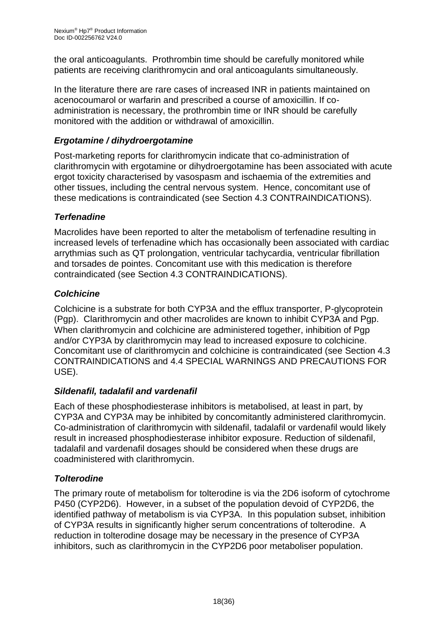the oral anticoagulants. Prothrombin time should be carefully monitored while patients are receiving clarithromycin and oral anticoagulants simultaneously.

In the literature there are rare cases of increased INR in patients maintained on acenocoumarol or warfarin and prescribed a course of amoxicillin. If coadministration is necessary, the prothrombin time or INR should be carefully monitored with the addition or withdrawal of amoxicillin.

## *Ergotamine / dihydroergotamine*

Post-marketing reports for clarithromycin indicate that co-administration of clarithromycin with ergotamine or dihydroergotamine has been associated with acute ergot toxicity characterised by vasospasm and ischaemia of the extremities and other tissues, including the central nervous system. Hence, concomitant use of these medications is contraindicated (see Section 4.3 CONTRAINDICATIONS).

## *Terfenadine*

Macrolides have been reported to alter the metabolism of terfenadine resulting in increased levels of terfenadine which has occasionally been associated with cardiac arrythmias such as QT prolongation, ventricular tachycardia, ventricular fibrillation and torsades de pointes. Concomitant use with this medication is therefore contraindicated (see Section 4.3 CONTRAINDICATIONS).

## *Colchicine*

Colchicine is a substrate for both CYP3A and the efflux transporter, P-glycoprotein (Pgp). Clarithromycin and other macrolides are known to inhibit CYP3A and Pgp. When clarithromycin and colchicine are administered together, inhibition of Pgp and/or CYP3A by clarithromycin may lead to increased exposure to colchicine. Concomitant use of clarithromycin and colchicine is contraindicated (see Section 4.3 CONTRAINDICATIONS and 4.4 SPECIAL WARNINGS AND PRECAUTIONS FOR USE).

## *Sildenafil, tadalafil and vardenafil*

Each of these phosphodiesterase inhibitors is metabolised, at least in part, by CYP3A and CYP3A may be inhibited by concomitantly administered clarithromycin. Co-administration of clarithromycin with sildenafil, tadalafil or vardenafil would likely result in increased phosphodiesterase inhibitor exposure. Reduction of sildenafil, tadalafil and vardenafil dosages should be considered when these drugs are coadministered with clarithromycin.

## *Tolterodine*

The primary route of metabolism for tolterodine is via the 2D6 isoform of cytochrome P450 (CYP2D6). However, in a subset of the population devoid of CYP2D6, the identified pathway of metabolism is via CYP3A. In this population subset, inhibition of CYP3A results in significantly higher serum concentrations of tolterodine. A reduction in tolterodine dosage may be necessary in the presence of CYP3A inhibitors, such as clarithromycin in the CYP2D6 poor metaboliser population.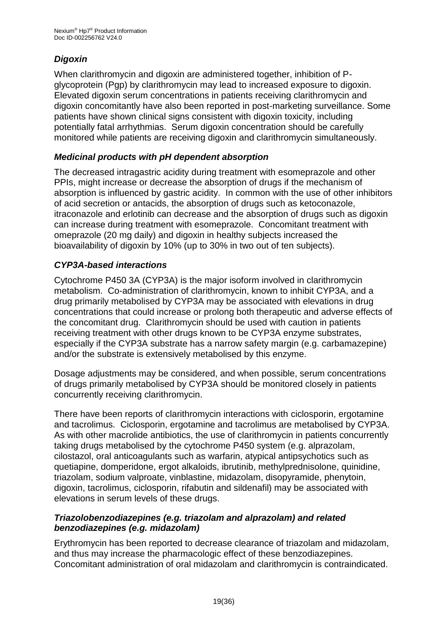## *Digoxin*

When clarithromycin and digoxin are administered together, inhibition of Pglycoprotein (Pgp) by clarithromycin may lead to increased exposure to digoxin. Elevated digoxin serum concentrations in patients receiving clarithromycin and digoxin concomitantly have also been reported in post-marketing surveillance. Some patients have shown clinical signs consistent with digoxin toxicity, including potentially fatal arrhythmias. Serum digoxin concentration should be carefully monitored while patients are receiving digoxin and clarithromycin simultaneously.

## *Medicinal products with pH dependent absorption*

The decreased intragastric acidity during treatment with esomeprazole and other PPIs, might increase or decrease the absorption of drugs if the mechanism of absorption is influenced by gastric acidity. In common with the use of other inhibitors of acid secretion or antacids, the absorption of drugs such as ketoconazole, itraconazole and erlotinib can decrease and the absorption of drugs such as digoxin can increase during treatment with esomeprazole. Concomitant treatment with omeprazole (20 mg daily) and digoxin in healthy subjects increased the bioavailability of digoxin by 10% (up to 30% in two out of ten subjects).

## *CYP3A-based interactions*

Cytochrome P450 3A (CYP3A) is the major isoform involved in clarithromycin metabolism. Co-administration of clarithromycin, known to inhibit CYP3A, and a drug primarily metabolised by CYP3A may be associated with elevations in drug concentrations that could increase or prolong both therapeutic and adverse effects of the concomitant drug. Clarithromycin should be used with caution in patients receiving treatment with other drugs known to be CYP3A enzyme substrates, especially if the CYP3A substrate has a narrow safety margin (e.g. carbamazepine) and/or the substrate is extensively metabolised by this enzyme.

Dosage adjustments may be considered, and when possible, serum concentrations of drugs primarily metabolised by CYP3A should be monitored closely in patients concurrently receiving clarithromycin.

There have been reports of clarithromycin interactions with ciclosporin, ergotamine and tacrolimus. Ciclosporin, ergotamine and tacrolimus are metabolised by CYP3A. As with other macrolide antibiotics, the use of clarithromycin in patients concurrently taking drugs metabolised by the cytochrome P450 system (e.g. alprazolam, cilostazol, oral anticoagulants such as warfarin, atypical antipsychotics such as quetiapine, domperidone, ergot alkaloids, ibrutinib, methylprednisolone, quinidine, triazolam, sodium valproate, vinblastine, midazolam, disopyramide, phenytoin, digoxin, tacrolimus, ciclosporin, rifabutin and sildenafil) may be associated with elevations in serum levels of these drugs.

#### *Triazolobenzodiazepines (e.g. triazolam and alprazolam) and related benzodiazepines (e.g. midazolam)*

Erythromycin has been reported to decrease clearance of triazolam and midazolam, and thus may increase the pharmacologic effect of these benzodiazepines. Concomitant administration of oral midazolam and clarithromycin is contraindicated.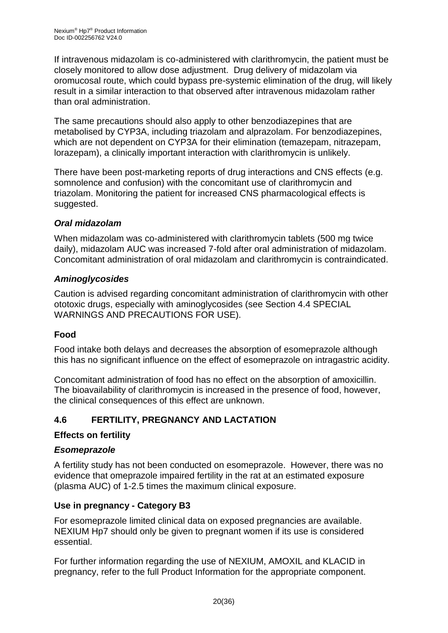If intravenous midazolam is co-administered with clarithromycin, the patient must be closely monitored to allow dose adjustment. Drug delivery of midazolam via oromucosal route, which could bypass pre-systemic elimination of the drug, will likely result in a similar interaction to that observed after intravenous midazolam rather than oral administration.

The same precautions should also apply to other benzodiazepines that are metabolised by CYP3A, including triazolam and alprazolam. For benzodiazepines, which are not dependent on CYP3A for their elimination (temazepam, nitrazepam, lorazepam), a clinically important interaction with clarithromycin is unlikely.

There have been post-marketing reports of drug interactions and CNS effects (e.g. somnolence and confusion) with the concomitant use of clarithromycin and triazolam. Monitoring the patient for increased CNS pharmacological effects is suggested.

## *Oral midazolam*

When midazolam was co-administered with clarithromycin tablets (500 mg twice daily), midazolam AUC was increased 7-fold after oral administration of midazolam. Concomitant administration of oral midazolam and clarithromycin is contraindicated.

## *Aminoglycosides*

Caution is advised regarding concomitant administration of clarithromycin with other ototoxic drugs, especially with aminoglycosides (see Section 4.4 SPECIAL WARNINGS AND PRECAUTIONS FOR USE).

## **Food**

Food intake both delays and decreases the absorption of esomeprazole although this has no significant influence on the effect of esomeprazole on intragastric acidity.

Concomitant administration of food has no effect on the absorption of amoxicillin. The bioavailability of clarithromycin is increased in the presence of food, however, the clinical consequences of this effect are unknown.

## **4.6 FERTILITY, PREGNANCY AND LACTATION**

## **Effects on fertility**

## *Esomeprazole*

A fertility study has not been conducted on esomeprazole. However, there was no evidence that omeprazole impaired fertility in the rat at an estimated exposure (plasma AUC) of 1-2.5 times the maximum clinical exposure.

## **Use in pregnancy - Category B3**

For esomeprazole limited clinical data on exposed pregnancies are available. NEXIUM Hp7 should only be given to pregnant women if its use is considered essential.

For further information regarding the use of NEXIUM, AMOXIL and KLACID in pregnancy, refer to the full Product Information for the appropriate component.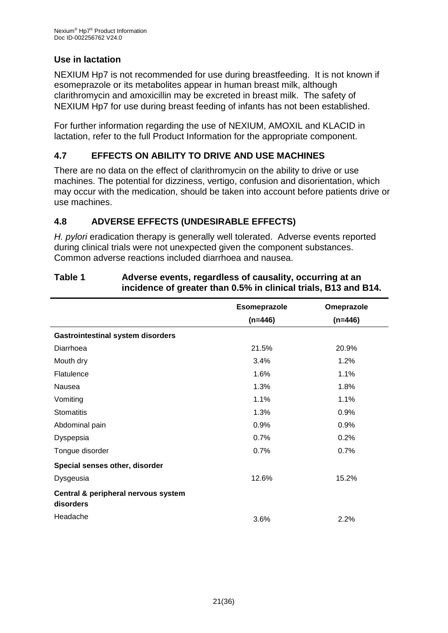## **Use in lactation**

NEXIUM Hp7 is not recommended for use during breastfeeding. It is not known if esomeprazole or its metabolites appear in human breast milk, although clarithromycin and amoxicillin may be excreted in breast milk. The safety of NEXIUM Hp7 for use during breast feeding of infants has not been established.

For further information regarding the use of NEXIUM, AMOXIL and KLACID in lactation, refer to the full Product Information for the appropriate component.

## **4.7 EFFECTS ON ABILITY TO DRIVE AND USE MACHINES**

There are no data on the effect of clarithromycin on the ability to drive or use machines. The potential for dizziness, vertigo, confusion and disorientation, which may occur with the medication, should be taken into account before patients drive or use machines.

## **4.8 ADVERSE EFFECTS (UNDESIRABLE EFFECTS)**

*H. pylori* eradication therapy is generally well tolerated. Adverse events reported during clinical trials were not unexpected given the component substances. Common adverse reactions included diarrhoea and nausea.

|                                                  | Esomeprazole | Omeprazole |
|--------------------------------------------------|--------------|------------|
|                                                  | $(n=446)$    | $(n=446)$  |
| <b>Gastrointestinal system disorders</b>         |              |            |
| Diarrhoea                                        | 21.5%        | 20.9%      |
| Mouth dry                                        | 3.4%         | 1.2%       |
| Flatulence                                       | 1.6%         | 1.1%       |
| Nausea                                           | 1.3%         | 1.8%       |
| Vomiting                                         | 1.1%         | 1.1%       |
| <b>Stomatitis</b>                                | 1.3%         | 0.9%       |
| Abdominal pain                                   | 0.9%         | 0.9%       |
| Dyspepsia                                        | 0.7%         | 0.2%       |
| Tongue disorder                                  | 0.7%         | 0.7%       |
| Special senses other, disorder                   |              |            |
| Dysgeusia                                        | 12.6%        | 15.2%      |
| Central & peripheral nervous system<br>disorders |              |            |
| Headache                                         | 3.6%         | 2.2%       |

#### **Table 1 Adverse events, regardless of causality, occurring at an incidence of greater than 0.5% in clinical trials, B13 and B14.**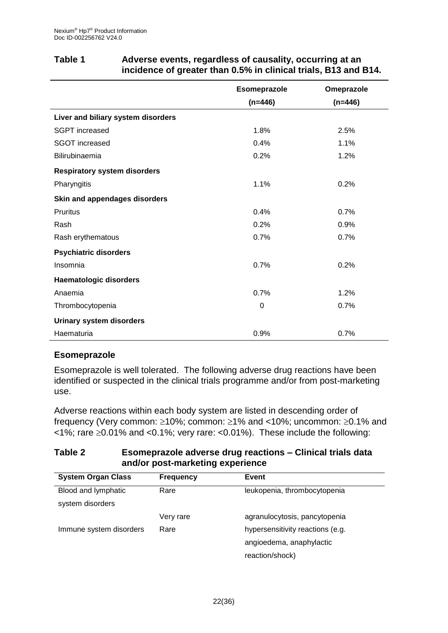|                                     | Esomeprazole | Omeprazole |
|-------------------------------------|--------------|------------|
|                                     | $(n=446)$    | $(n=446)$  |
| Liver and biliary system disorders  |              |            |
| <b>SGPT</b> increased               | 1.8%         | 2.5%       |
| <b>SGOT increased</b>               | 0.4%         | 1.1%       |
| Bilirubinaemia                      | 0.2%         | 1.2%       |
| <b>Respiratory system disorders</b> |              |            |
| Pharyngitis                         | 1.1%         | 0.2%       |
| Skin and appendages disorders       |              |            |
| <b>Pruritus</b>                     | 0.4%         | 0.7%       |
| Rash                                | 0.2%         | 0.9%       |
| Rash erythematous                   | 0.7%         | 0.7%       |
| <b>Psychiatric disorders</b>        |              |            |
| Insomnia                            | 0.7%         | 0.2%       |
| <b>Haematologic disorders</b>       |              |            |
| Anaemia                             | 0.7%         | 1.2%       |
| Thrombocytopenia                    | 0            | 0.7%       |
| <b>Urinary system disorders</b>     |              |            |
| Haematuria                          | 0.9%         | 0.7%       |

#### **Table 1 Adverse events, regardless of causality, occurring at an incidence of greater than 0.5% in clinical trials, B13 and B14.**

## **Esomeprazole**

Esomeprazole is well tolerated. The following adverse drug reactions have been identified or suspected in the clinical trials programme and/or from post-marketing use.

Adverse reactions within each body system are listed in descending order of frequency (Very common:  $\geq 10\%$ ; common:  $\geq 1\%$  and <10%; uncommon:  $\geq 0.1\%$  and  $\langle 1\% \rangle$ ; rare  $\geq 0.01\%$  and  $\langle 0.1\% \rangle$ ; very rare:  $\langle 0.01\% \rangle$ . These include the following:

#### **Table 2 Esomeprazole adverse drug reactions – Clinical trials data and/or post-marketing experience**

| <b>System Organ Class</b> | <b>Frequency</b> | Event                            |
|---------------------------|------------------|----------------------------------|
| Blood and lymphatic       | Rare             | leukopenia, thrombocytopenia     |
| system disorders          |                  |                                  |
|                           | Very rare        | agranulocytosis, pancytopenia    |
| Immune system disorders   | Rare             | hypersensitivity reactions (e.g. |
|                           |                  | angioedema, anaphylactic         |
|                           |                  | reaction/shock)                  |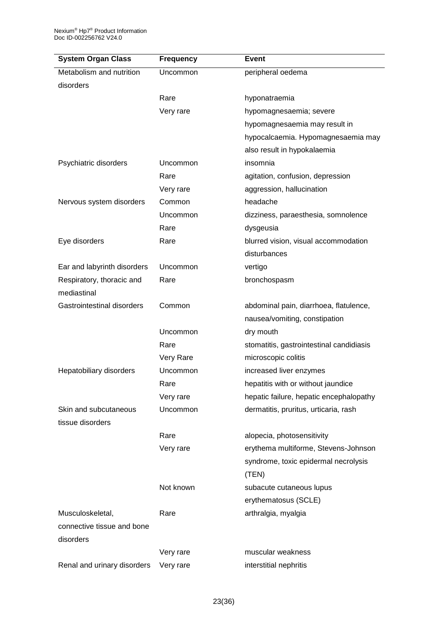| <b>System Organ Class</b>                 | <b>Frequency</b> | <b>Event</b>                                                      |
|-------------------------------------------|------------------|-------------------------------------------------------------------|
| Metabolism and nutrition                  | Uncommon         | peripheral oedema                                                 |
| disorders                                 |                  |                                                                   |
|                                           | Rare             | hyponatraemia                                                     |
|                                           | Very rare        | hypomagnesaemia; severe                                           |
|                                           |                  | hypomagnesaemia may result in                                     |
|                                           |                  | hypocalcaemia. Hypomagnesaemia may<br>also result in hypokalaemia |
| Psychiatric disorders                     | Uncommon         | insomnia                                                          |
|                                           | Rare             | agitation, confusion, depression                                  |
|                                           | Very rare        | aggression, hallucination                                         |
| Nervous system disorders                  | Common           | headache                                                          |
|                                           | Uncommon         | dizziness, paraesthesia, somnolence                               |
|                                           | Rare             | dysgeusia                                                         |
| Eye disorders                             | Rare             | blurred vision, visual accommodation                              |
|                                           |                  | disturbances                                                      |
| Ear and labyrinth disorders               | Uncommon         | vertigo                                                           |
| Respiratory, thoracic and                 | Rare             | bronchospasm                                                      |
| mediastinal                               |                  |                                                                   |
| <b>Gastrointestinal disorders</b>         | Common           | abdominal pain, diarrhoea, flatulence,                            |
|                                           |                  | nausea/vomiting, constipation                                     |
|                                           | Uncommon         | dry mouth                                                         |
|                                           | Rare             | stomatitis, gastrointestinal candidiasis                          |
|                                           | Very Rare        | microscopic colitis                                               |
| Hepatobiliary disorders                   | Uncommon         | increased liver enzymes                                           |
|                                           | Rare             | hepatitis with or without jaundice                                |
|                                           | Very rare        | hepatic failure, hepatic encephalopathy                           |
| Skin and subcutaneous<br>tissue disorders | <b>Uncommon</b>  | dermatitis, pruritus, urticaria, rash                             |
|                                           | Rare             | alopecia, photosensitivity                                        |
|                                           | Very rare        | erythema multiforme, Stevens-Johnson                              |
|                                           |                  | syndrome, toxic epidermal necrolysis                              |
|                                           |                  | (TEN)                                                             |
|                                           | Not known        | subacute cutaneous lupus                                          |
|                                           |                  | erythematosus (SCLE)                                              |
| Musculoskeletal,                          | Rare             | arthralgia, myalgia                                               |
| connective tissue and bone                |                  |                                                                   |
| disorders                                 |                  |                                                                   |
|                                           | Very rare        | muscular weakness                                                 |
|                                           |                  |                                                                   |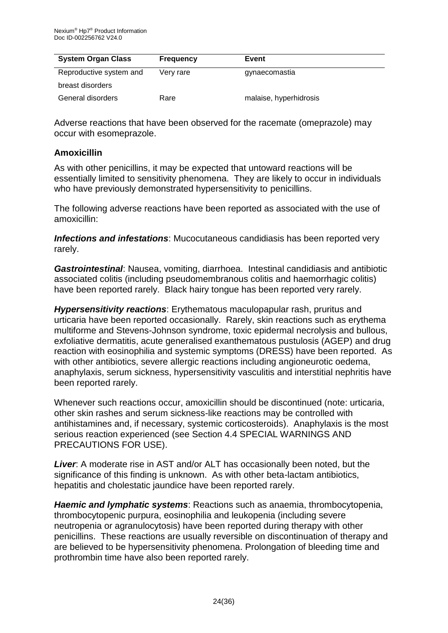| <b>System Organ Class</b> | <b>Frequency</b> | Event                  |  |
|---------------------------|------------------|------------------------|--|
| Reproductive system and   | Very rare        | gynaecomastia          |  |
| breast disorders          |                  |                        |  |
| General disorders         | Rare             | malaise, hyperhidrosis |  |

Adverse reactions that have been observed for the racemate (omeprazole) may occur with esomeprazole.

#### **Amoxicillin**

As with other penicillins, it may be expected that untoward reactions will be essentially limited to sensitivity phenomena. They are likely to occur in individuals who have previously demonstrated hypersensitivity to penicillins.

The following adverse reactions have been reported as associated with the use of amoxicillin:

*Infections and infestations*: Mucocutaneous candidiasis has been reported very rarely.

*Gastrointestinal*: Nausea, vomiting, diarrhoea. Intestinal candidiasis and antibiotic associated colitis (including pseudomembranous colitis and haemorrhagic colitis) have been reported rarely. Black hairy tongue has been reported very rarely.

*Hypersensitivity reactions*: Erythematous maculopapular rash, pruritus and urticaria have been reported occasionally. Rarely, skin reactions such as erythema multiforme and Stevens-Johnson syndrome, toxic epidermal necrolysis and bullous, exfoliative dermatitis, acute generalised exanthematous pustulosis (AGEP) and drug reaction with eosinophilia and systemic symptoms (DRESS) have been reported. As with other antibiotics, severe allergic reactions including angioneurotic oedema, anaphylaxis, serum sickness, hypersensitivity vasculitis and interstitial nephritis have been reported rarely.

Whenever such reactions occur, amoxicillin should be discontinued (note: urticaria, other skin rashes and serum sickness-like reactions may be controlled with antihistamines and, if necessary, systemic corticosteroids). Anaphylaxis is the most serious reaction experienced (see Section 4.4 SPECIAL WARNINGS AND PRECAUTIONS FOR USE).

*Liver*: A moderate rise in AST and/or ALT has occasionally been noted, but the significance of this finding is unknown. As with other beta-lactam antibiotics, hepatitis and cholestatic jaundice have been reported rarely.

*Haemic and lymphatic systems*: Reactions such as anaemia, thrombocytopenia, thrombocytopenic purpura, eosinophilia and leukopenia (including severe neutropenia or agranulocytosis) have been reported during therapy with other penicillins. These reactions are usually reversible on discontinuation of therapy and are believed to be hypersensitivity phenomena. Prolongation of bleeding time and prothrombin time have also been reported rarely.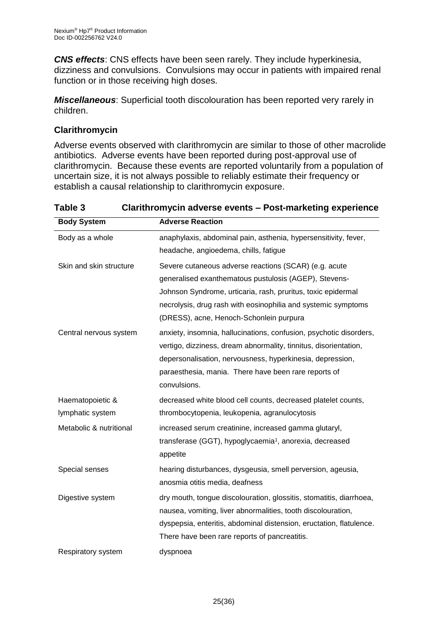*CNS effects*: CNS effects have been seen rarely. They include hyperkinesia, dizziness and convulsions. Convulsions may occur in patients with impaired renal function or in those receiving high doses.

*Miscellaneous*: Superficial tooth discolouration has been reported very rarely in children.

## **Clarithromycin**

Adverse events observed with clarithromycin are similar to those of other macrolide antibiotics. Adverse events have been reported during post-approval use of clarithromycin. Because these events are reported voluntarily from a population of uncertain size, it is not always possible to reliably estimate their frequency or establish a causal relationship to clarithromycin exposure.

**Table 3 Clarithromycin adverse events – Post-marketing experience**

| <b>Body System</b>      | <b>Adverse Reaction</b>                                             |
|-------------------------|---------------------------------------------------------------------|
| Body as a whole         | anaphylaxis, abdominal pain, asthenia, hypersensitivity, fever,     |
|                         | headache, angioedema, chills, fatigue                               |
| Skin and skin structure | Severe cutaneous adverse reactions (SCAR) (e.g. acute               |
|                         | generalised exanthematous pustulosis (AGEP), Stevens-               |
|                         | Johnson Syndrome, urticaria, rash, pruritus, toxic epidermal        |
|                         | necrolysis, drug rash with eosinophilia and systemic symptoms       |
|                         | (DRESS), acne, Henoch-Schonlein purpura                             |
| Central nervous system  | anxiety, insomnia, hallucinations, confusion, psychotic disorders,  |
|                         | vertigo, dizziness, dream abnormality, tinnitus, disorientation,    |
|                         | depersonalisation, nervousness, hyperkinesia, depression,           |
|                         | paraesthesia, mania. There have been rare reports of                |
|                         | convulsions.                                                        |
| Haematopoietic &        | decreased white blood cell counts, decreased platelet counts,       |
| lymphatic system        | thrombocytopenia, leukopenia, agranulocytosis                       |
| Metabolic & nutritional | increased serum creatinine, increased gamma glutaryl,               |
|                         | transferase (GGT), hypoglycaemia <sup>1</sup> , anorexia, decreased |
|                         | appetite                                                            |
| Special senses          | hearing disturbances, dysgeusia, smell perversion, ageusia,         |
|                         | anosmia otitis media, deafness                                      |
| Digestive system        | dry mouth, tongue discolouration, glossitis, stomatitis, diarrhoea, |
|                         | nausea, vomiting, liver abnormalities, tooth discolouration,        |
|                         | dyspepsia, enteritis, abdominal distension, eructation, flatulence. |
|                         | There have been rare reports of pancreatitis.                       |
| Respiratory system      | dyspnoea                                                            |
|                         |                                                                     |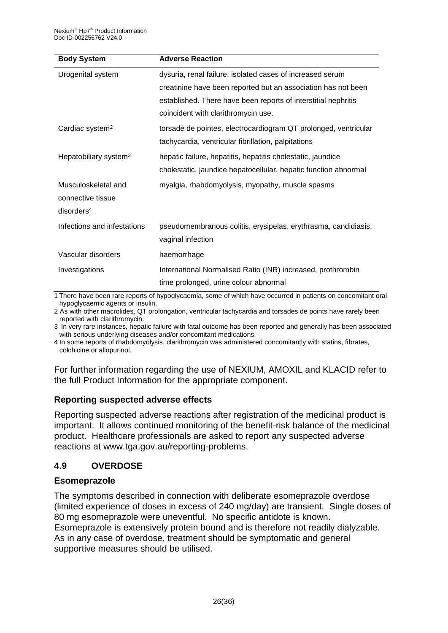| <b>Body System</b>                | <b>Adverse Reaction</b>                                         |
|-----------------------------------|-----------------------------------------------------------------|
| Urogenital system                 | dysuria, renal failure, isolated cases of increased serum       |
|                                   | creatinine have been reported but an association has not been   |
|                                   | established. There have been reports of interstitial nephritis  |
|                                   | coincident with clarithromycin use.                             |
| Cardiac system <sup>2</sup>       | torsade de pointes, electrocardiogram QT prolonged, ventricular |
|                                   | tachycardia, ventricular fibrillation, palpitations             |
| Hepatobiliary system <sup>3</sup> | hepatic failure, hepatitis, hepatitis cholestatic, jaundice     |
|                                   | cholestatic, jaundice hepatocellular, hepatic function abnormal |
| Musculoskeletal and               | myalgia, rhabdomyolysis, myopathy, muscle spasms                |
| connective tissue                 |                                                                 |
| disorders <sup>4</sup>            |                                                                 |
| Infections and infestations       | pseudomembranous colitis, erysipelas, erythrasma, candidiasis,  |
|                                   | vaginal infection                                               |
| Vascular disorders                | haemorrhage                                                     |
| Investigations                    | International Normalised Ratio (INR) increased, prothrombin     |
|                                   | time prolonged, urine colour abnormal                           |

1 There have been rare reports of hypoglycaemia, some of which have occurred in patients on concomitant oral hypoglycaemic agents or insulin.

2 As with other macrolides, QT prolongation, ventricular tachycardia and torsades de points have rarely been reported with clarithromycin.

3 In very rare instances, hepatic failure with fatal outcome has been reported and generally has been associated with serious underlying diseases and/or concomitant medications.

4 In some reports of rhabdomyolysis, clarithromycin was administered concomitantly with statins, fibrates, colchicine or allopurinol.

For further information regarding the use of NEXIUM, AMOXIL and KLACID refer to the full Product Information for the appropriate component.

#### **Reporting suspected adverse effects**

Reporting suspected adverse reactions after registration of the medicinal product is important. It allows continued monitoring of the benefit-risk balance of the medicinal product. Healthcare professionals are asked to report any suspected adverse reactions at www.tga.gov.au/reporting-problems.

#### **4.9 OVERDOSE**

#### **Esomeprazole**

The symptoms described in connection with deliberate esomeprazole overdose (limited experience of doses in excess of 240 mg/day) are transient. Single doses of 80 mg esomeprazole were uneventful. No specific antidote is known. Esomeprazole is extensively protein bound and is therefore not readily dialyzable. As in any case of overdose, treatment should be symptomatic and general supportive measures should be utilised.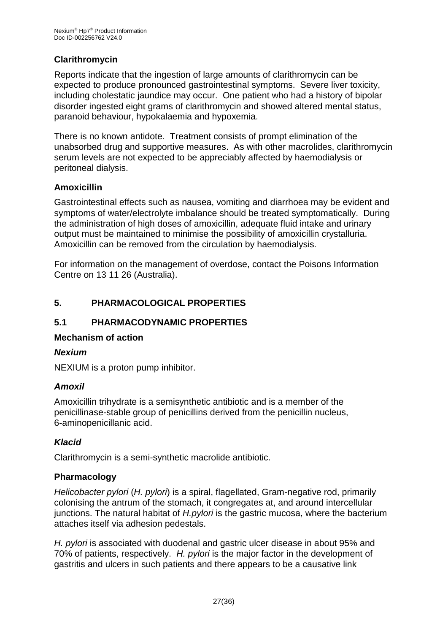## **Clarithromycin**

Reports indicate that the ingestion of large amounts of clarithromycin can be expected to produce pronounced gastrointestinal symptoms. Severe liver toxicity, including cholestatic jaundice may occur. One patient who had a history of bipolar disorder ingested eight grams of clarithromycin and showed altered mental status, paranoid behaviour, hypokalaemia and hypoxemia.

There is no known antidote. Treatment consists of prompt elimination of the unabsorbed drug and supportive measures. As with other macrolides, clarithromycin serum levels are not expected to be appreciably affected by haemodialysis or peritoneal dialysis.

#### **Amoxicillin**

Gastrointestinal effects such as nausea, vomiting and diarrhoea may be evident and symptoms of water/electrolyte imbalance should be treated symptomatically. During the administration of high doses of amoxicillin, adequate fluid intake and urinary output must be maintained to minimise the possibility of amoxicillin crystalluria. Amoxicillin can be removed from the circulation by haemodialysis.

For information on the management of overdose, contact the Poisons Information Centre on 13 11 26 (Australia).

## **5. PHARMACOLOGICAL PROPERTIES**

## **5.1 PHARMACODYNAMIC PROPERTIES**

#### **Mechanism of action**

## *Nexium*

NEXIUM is a proton pump inhibitor.

#### *Amoxil*

Amoxicillin trihydrate is a semisynthetic antibiotic and is a member of the penicillinase-stable group of penicillins derived from the penicillin nucleus, 6-aminopenicillanic acid.

## *Klacid*

Clarithromycin is a semi-synthetic macrolide antibiotic.

## **Pharmacology**

*Helicobacter pylori* (*H. pylori*) is a spiral, flagellated, Gram-negative rod, primarily colonising the antrum of the stomach, it congregates at, and around intercellular junctions. The natural habitat of *H.pylori* is the gastric mucosa, where the bacterium attaches itself via adhesion pedestals.

*H. pylori* is associated with duodenal and gastric ulcer disease in about 95% and 70% of patients, respectively. *H. pylori* is the major factor in the development of gastritis and ulcers in such patients and there appears to be a causative link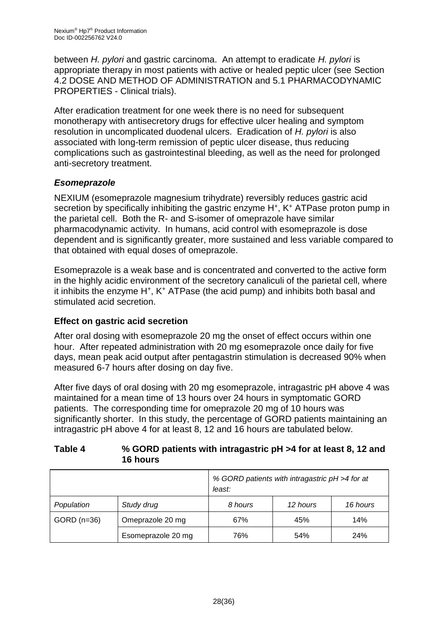between *H. pylori* and gastric carcinoma. An attempt to eradicate *H. pylori* is appropriate therapy in most patients with active or healed peptic ulcer (see Section 4.2 DOSE AND METHOD OF ADMINISTRATION and 5.1 PHARMACODYNAMIC PROPERTIES - Clinical trials).

After eradication treatment for one week there is no need for subsequent monotherapy with antisecretory drugs for effective ulcer healing and symptom resolution in uncomplicated duodenal ulcers. Eradication of *H. pylori* is also associated with long-term remission of peptic ulcer disease, thus reducing complications such as gastrointestinal bleeding, as well as the need for prolonged anti-secretory treatment.

## *Esomeprazole*

NEXIUM (esomeprazole magnesium trihydrate) reversibly reduces gastric acid secretion by specifically inhibiting the gastric enzyme H<sup>+</sup>, K<sup>+</sup> ATPase proton pump in the parietal cell. Both the R- and S-isomer of omeprazole have similar pharmacodynamic activity. In humans, acid control with esomeprazole is dose dependent and is significantly greater, more sustained and less variable compared to that obtained with equal doses of omeprazole.

Esomeprazole is a weak base and is concentrated and converted to the active form in the highly acidic environment of the secretory canaliculi of the parietal cell, where it inhibits the enzyme H<sup>+</sup>, K<sup>+</sup> ATPase (the acid pump) and inhibits both basal and stimulated acid secretion.

## **Effect on gastric acid secretion**

After oral dosing with esomeprazole 20 mg the onset of effect occurs within one hour. After repeated administration with 20 mg esomeprazole once daily for five days, mean peak acid output after pentagastrin stimulation is decreased 90% when measured 6-7 hours after dosing on day five.

After five days of oral dosing with 20 mg esomeprazole, intragastric pH above 4 was maintained for a mean time of 13 hours over 24 hours in symptomatic GORD patients. The corresponding time for omeprazole 20 mg of 10 hours was significantly shorter. In this study, the percentage of GORD patients maintaining an intragastric pH above 4 for at least 8, 12 and 16 hours are tabulated below.

#### **Table 4 % GORD patients with intragastric pH >4 for at least 8, 12 and 16 hours**

|               |                    | % GORD patients with intragastric pH >4 for at<br>least: |          |          |
|---------------|--------------------|----------------------------------------------------------|----------|----------|
| Population    | Study drug         | 8 hours                                                  | 12 hours | 16 hours |
| $GORD$ (n=36) | Omeprazole 20 mg   | 67%                                                      | 45%      | 14%      |
|               | Esomeprazole 20 mg | 76%                                                      | 54%      | 24%      |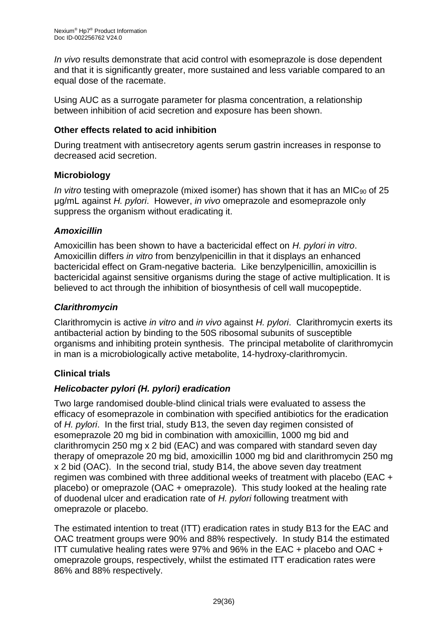*In vivo* results demonstrate that acid control with esomeprazole is dose dependent and that it is significantly greater, more sustained and less variable compared to an equal dose of the racemate.

Using AUC as a surrogate parameter for plasma concentration, a relationship between inhibition of acid secretion and exposure has been shown.

## **Other effects related to acid inhibition**

During treatment with antisecretory agents serum gastrin increases in response to decreased acid secretion.

## **Microbiology**

*In vitro* testing with omeprazole (mixed isomer) has shown that it has an MIC<sub>90</sub> of 25 μg/mL against *H. pylori*. However, *in vivo* omeprazole and esomeprazole only suppress the organism without eradicating it.

## *Amoxicillin*

Amoxicillin has been shown to have a bactericidal effect on *H. pylori in vitro*. Amoxicillin differs *in vitro* from benzylpenicillin in that it displays an enhanced bactericidal effect on Gram-negative bacteria. Like benzylpenicillin, amoxicillin is bactericidal against sensitive organisms during the stage of active multiplication. It is believed to act through the inhibition of biosynthesis of cell wall mucopeptide.

## *Clarithromycin*

Clarithromycin is active *in vitro* and *in vivo* against *H. pylori*. Clarithromycin exerts its antibacterial action by binding to the 50S ribosomal subunits of susceptible organisms and inhibiting protein synthesis. The principal metabolite of clarithromycin in man is a microbiologically active metabolite, 14-hydroxy-clarithromycin.

## **Clinical trials**

## *Helicobacter pylori (H. pylori) eradication*

Two large randomised double-blind clinical trials were evaluated to assess the efficacy of esomeprazole in combination with specified antibiotics for the eradication of *H. pylori*. In the first trial, study B13, the seven day regimen consisted of esomeprazole 20 mg bid in combination with amoxicillin, 1000 mg bid and clarithromycin 250 mg x 2 bid (EAC) and was compared with standard seven day therapy of omeprazole 20 mg bid, amoxicillin 1000 mg bid and clarithromycin 250 mg x 2 bid (OAC). In the second trial, study B14, the above seven day treatment regimen was combined with three additional weeks of treatment with placebo (EAC + placebo) or omeprazole (OAC + omeprazole). This study looked at the healing rate of duodenal ulcer and eradication rate of *H. pylori* following treatment with omeprazole or placebo.

The estimated intention to treat (ITT) eradication rates in study B13 for the EAC and OAC treatment groups were 90% and 88% respectively. In study B14 the estimated ITT cumulative healing rates were 97% and 96% in the EAC + placebo and OAC + omeprazole groups, respectively, whilst the estimated ITT eradication rates were 86% and 88% respectively.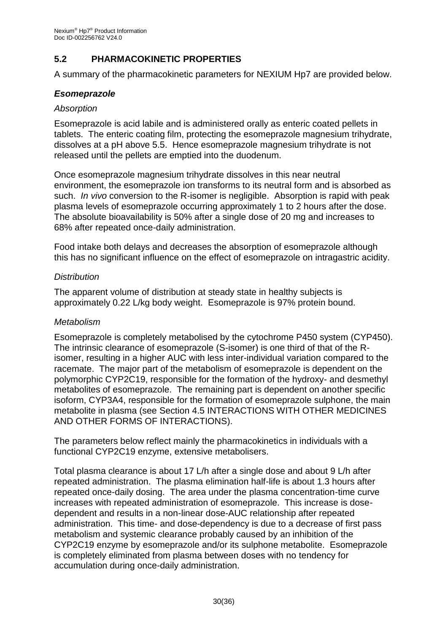## **5.2 PHARMACOKINETIC PROPERTIES**

A summary of the pharmacokinetic parameters for NEXIUM Hp7 are provided below.

#### *Esomeprazole*

#### *Absorption*

Esomeprazole is acid labile and is administered orally as enteric coated pellets in tablets. The enteric coating film, protecting the esomeprazole magnesium trihydrate, dissolves at a pH above 5.5. Hence esomeprazole magnesium trihydrate is not released until the pellets are emptied into the duodenum.

Once esomeprazole magnesium trihydrate dissolves in this near neutral environment, the esomeprazole ion transforms to its neutral form and is absorbed as such. *In vivo* conversion to the R-isomer is negligible. Absorption is rapid with peak plasma levels of esomeprazole occurring approximately 1 to 2 hours after the dose. The absolute bioavailability is 50% after a single dose of 20 mg and increases to 68% after repeated once-daily administration.

Food intake both delays and decreases the absorption of esomeprazole although this has no significant influence on the effect of esomeprazole on intragastric acidity.

#### *Distribution*

The apparent volume of distribution at steady state in healthy subjects is approximately 0.22 L/kg body weight. Esomeprazole is 97% protein bound.

#### *Metabolism*

Esomeprazole is completely metabolised by the cytochrome P450 system (CYP450). The intrinsic clearance of esomeprazole (S-isomer) is one third of that of the Risomer, resulting in a higher AUC with less inter-individual variation compared to the racemate. The major part of the metabolism of esomeprazole is dependent on the polymorphic CYP2C19, responsible for the formation of the hydroxy- and desmethyl metabolites of esomeprazole. The remaining part is dependent on another specific isoform, CYP3A4, responsible for the formation of esomeprazole sulphone, the main metabolite in plasma (see Section 4.5 INTERACTIONS WITH OTHER MEDICINES AND OTHER FORMS OF INTERACTIONS).

The parameters below reflect mainly the pharmacokinetics in individuals with a functional CYP2C19 enzyme, extensive metabolisers.

Total plasma clearance is about 17 L/h after a single dose and about 9 L/h after repeated administration. The plasma elimination half-life is about 1.3 hours after repeated once-daily dosing. The area under the plasma concentration-time curve increases with repeated administration of esomeprazole. This increase is dosedependent and results in a non-linear dose-AUC relationship after repeated administration. This time- and dose-dependency is due to a decrease of first pass metabolism and systemic clearance probably caused by an inhibition of the CYP2C19 enzyme by esomeprazole and/or its sulphone metabolite. Esomeprazole is completely eliminated from plasma between doses with no tendency for accumulation during once-daily administration.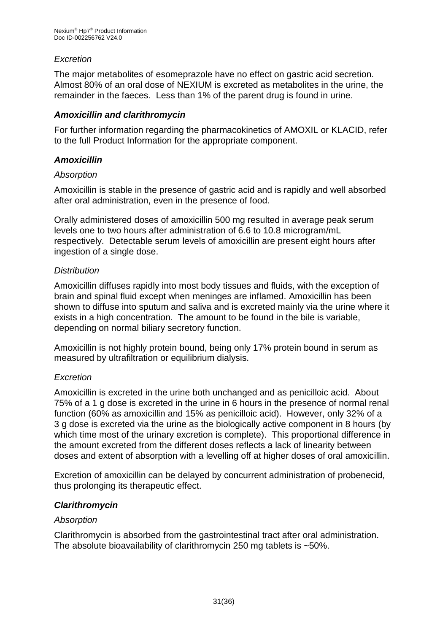## *Excretion*

The major metabolites of esomeprazole have no effect on gastric acid secretion. Almost 80% of an oral dose of NEXIUM is excreted as metabolites in the urine, the remainder in the faeces. Less than 1% of the parent drug is found in urine.

## *Amoxicillin and clarithromycin*

For further information regarding the pharmacokinetics of AMOXIL or KLACID, refer to the full Product Information for the appropriate component.

## *Amoxicillin*

#### *Absorption*

Amoxicillin is stable in the presence of gastric acid and is rapidly and well absorbed after oral administration, even in the presence of food.

Orally administered doses of amoxicillin 500 mg resulted in average peak serum levels one to two hours after administration of 6.6 to 10.8 microgram/mL respectively. Detectable serum levels of amoxicillin are present eight hours after ingestion of a single dose.

## *Distribution*

Amoxicillin diffuses rapidly into most body tissues and fluids, with the exception of brain and spinal fluid except when meninges are inflamed. Amoxicillin has been shown to diffuse into sputum and saliva and is excreted mainly via the urine where it exists in a high concentration. The amount to be found in the bile is variable, depending on normal biliary secretory function.

Amoxicillin is not highly protein bound, being only 17% protein bound in serum as measured by ultrafiltration or equilibrium dialysis.

## *Excretion*

Amoxicillin is excreted in the urine both unchanged and as penicilloic acid. About 75% of a 1 g dose is excreted in the urine in 6 hours in the presence of normal renal function (60% as amoxicillin and 15% as penicilloic acid). However, only 32% of a 3 g dose is excreted via the urine as the biologically active component in 8 hours (by which time most of the urinary excretion is complete). This proportional difference in the amount excreted from the different doses reflects a lack of linearity between doses and extent of absorption with a levelling off at higher doses of oral amoxicillin.

Excretion of amoxicillin can be delayed by concurrent administration of probenecid, thus prolonging its therapeutic effect.

## *Clarithromycin*

## *Absorption*

Clarithromycin is absorbed from the gastrointestinal tract after oral administration. The absolute bioavailability of clarithromycin 250 mg tablets is ~50%.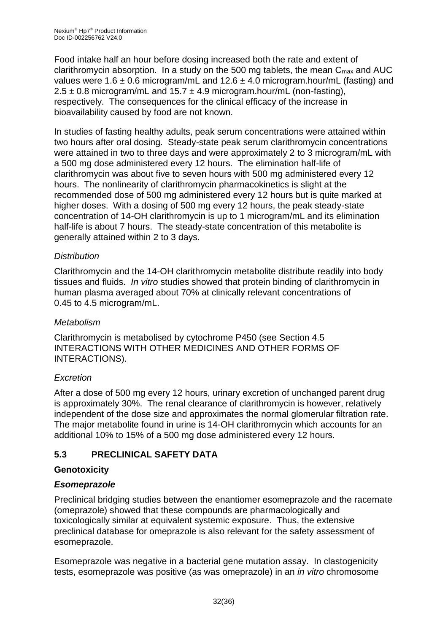Food intake half an hour before dosing increased both the rate and extent of clarithromycin absorption. In a study on the 500 mg tablets, the mean  $C_{\text{max}}$  and AUC values were 1.6  $\pm$  0.6 microgram/mL and 12.6  $\pm$  4.0 microgram.hour/mL (fasting) and  $2.5 \pm 0.8$  microgram/mL and  $15.7 \pm 4.9$  microgram.hour/mL (non-fasting), respectively. The consequences for the clinical efficacy of the increase in bioavailability caused by food are not known.

In studies of fasting healthy adults, peak serum concentrations were attained within two hours after oral dosing. Steady-state peak serum clarithromycin concentrations were attained in two to three days and were approximately 2 to 3 microgram/mL with a 500 mg dose administered every 12 hours. The elimination half-life of clarithromycin was about five to seven hours with 500 mg administered every 12 hours. The nonlinearity of clarithromycin pharmacokinetics is slight at the recommended dose of 500 mg administered every 12 hours but is quite marked at higher doses. With a dosing of 500 mg every 12 hours, the peak steady-state concentration of 14-OH clarithromycin is up to 1 microgram/mL and its elimination half-life is about 7 hours. The steady-state concentration of this metabolite is generally attained within 2 to 3 days.

## *Distribution*

Clarithromycin and the 14-OH clarithromycin metabolite distribute readily into body tissues and fluids. *In vitro* studies showed that protein binding of clarithromycin in human plasma averaged about 70% at clinically relevant concentrations of 0.45 to 4.5 microgram/mL.

## *Metabolism*

Clarithromycin is metabolised by cytochrome P450 (see Section 4.5 INTERACTIONS WITH OTHER MEDICINES AND OTHER FORMS OF INTERACTIONS).

## *Excretion*

After a dose of 500 mg every 12 hours, urinary excretion of unchanged parent drug is approximately 30%. The renal clearance of clarithromycin is however, relatively independent of the dose size and approximates the normal glomerular filtration rate. The major metabolite found in urine is 14-OH clarithromycin which accounts for an additional 10% to 15% of a 500 mg dose administered every 12 hours.

## **5.3 PRECLINICAL SAFETY DATA**

## **Genotoxicity**

## *Esomeprazole*

Preclinical bridging studies between the enantiomer esomeprazole and the racemate (omeprazole) showed that these compounds are pharmacologically and toxicologically similar at equivalent systemic exposure. Thus, the extensive preclinical database for omeprazole is also relevant for the safety assessment of esomeprazole.

Esomeprazole was negative in a bacterial gene mutation assay. In clastogenicity tests, esomeprazole was positive (as was omeprazole) in an *in vitro* chromosome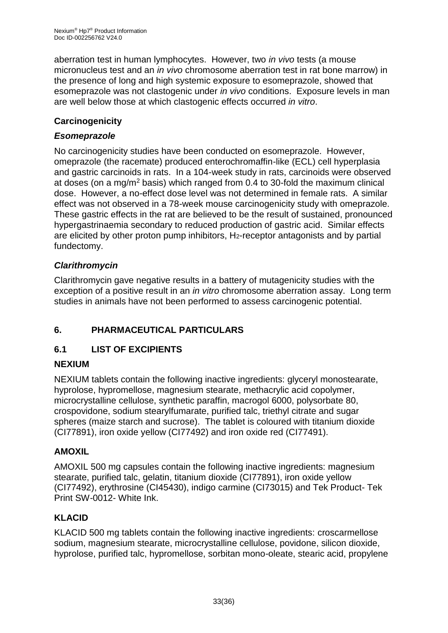aberration test in human lymphocytes. However, two *in vivo* tests (a mouse micronucleus test and an *in vivo* chromosome aberration test in rat bone marrow) in the presence of long and high systemic exposure to esomeprazole, showed that esomeprazole was not clastogenic under *in vivo* conditions. Exposure levels in man are well below those at which clastogenic effects occurred *in vitro*.

## **Carcinogenicity**

## *Esomeprazole*

No carcinogenicity studies have been conducted on esomeprazole. However, omeprazole (the racemate) produced enterochromaffin-like (ECL) cell hyperplasia and gastric carcinoids in rats. In a 104-week study in rats, carcinoids were observed at doses (on a mg/m<sup>2</sup> basis) which ranged from 0.4 to 30-fold the maximum clinical dose. However, a no-effect dose level was not determined in female rats. A similar effect was not observed in a 78-week mouse carcinogenicity study with omeprazole. These gastric effects in the rat are believed to be the result of sustained, pronounced hypergastrinaemia secondary to reduced production of gastric acid. Similar effects are elicited by other proton pump inhibitors, H2-receptor antagonists and by partial fundectomy.

## *Clarithromycin*

Clarithromycin gave negative results in a battery of mutagenicity studies with the exception of a positive result in an *in vitro* chromosome aberration assay. Long term studies in animals have not been performed to assess carcinogenic potential.

## **6. PHARMACEUTICAL PARTICULARS**

## **6.1 LIST OF EXCIPIENTS**

## **NEXIUM**

NEXIUM tablets contain the following inactive ingredients: glyceryl monostearate, hyprolose, hypromellose, magnesium stearate, methacrylic acid copolymer, microcrystalline cellulose, synthetic paraffin, macrogol 6000, polysorbate 80, crospovidone, sodium stearylfumarate, purified talc, triethyl citrate and sugar spheres (maize starch and sucrose). The tablet is coloured with titanium dioxide (CI77891), iron oxide yellow (CI77492) and iron oxide red (CI77491).

## **AMOXIL**

AMOXIL 500 mg capsules contain the following inactive ingredients: magnesium stearate, purified talc, gelatin, titanium dioxide (CI77891), iron oxide yellow (CI77492), erythrosine (CI45430), indigo carmine (CI73015) and Tek Product- Tek Print SW-0012- White Ink.

## **KLACID**

KLACID 500 mg tablets contain the following inactive ingredients: croscarmellose sodium, magnesium stearate, microcrystalline cellulose, povidone, silicon dioxide, hyprolose, purified talc, hypromellose, sorbitan mono-oleate, stearic acid, propylene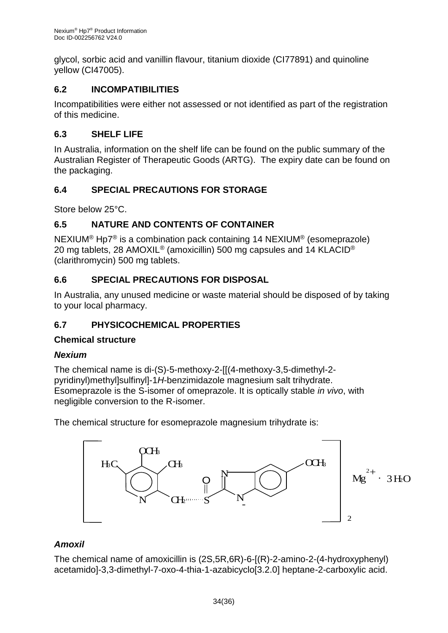glycol, sorbic acid and vanillin flavour, titanium dioxide (CI77891) and quinoline yellow (CI47005).

## **6.2 INCOMPATIBILITIES**

Incompatibilities were either not assessed or not identified as part of the registration of this medicine.

## **6.3 SHELF LIFE**

In Australia, information on the shelf life can be found on the public summary of the Australian Register of Therapeutic Goods (ARTG). The expiry date can be found on the packaging.

## **6.4 SPECIAL PRECAUTIONS FOR STORAGE**

Store below 25°C.

## **6.5 NATURE AND CONTENTS OF CONTAINER**

NEXIUM® Hp7® is a combination pack containing 14 NEXIUM® (esomeprazole) 20 mg tablets, 28 AMOXIL<sup>®</sup> (amoxicillin) 500 mg capsules and 14 KLACID<sup>®</sup> (clarithromycin) 500 mg tablets.

## **6.6 SPECIAL PRECAUTIONS FOR DISPOSAL**

In Australia, any unused medicine or waste material should be disposed of by taking to your local pharmacy.

## **6.7 PHYSICOCHEMICAL PROPERTIES**

## **Chemical structure**

## *Nexium*

The chemical name is di-(S)-5-methoxy-2-[[(4-methoxy-3,5-dimethyl-2 pyridinyl)methyl]sulfinyl]-1*H*-benzimidazole magnesium salt trihydrate. Esomeprazole is the S-isomer of omeprazole. It is optically stable *in vivo*, with negligible conversion to the R-isomer.

The chemical structure for esomeprazole magnesium trihydrate is:



## *Amoxil*

The chemical name of amoxicillin is (2S,5R,6R)-6-[(R)-2-amino-2-(4-hydroxyphenyl) acetamido]-3,3-dimethyl-7-oxo-4-thia-1-azabicyclo[3.2.0] heptane-2-carboxylic acid.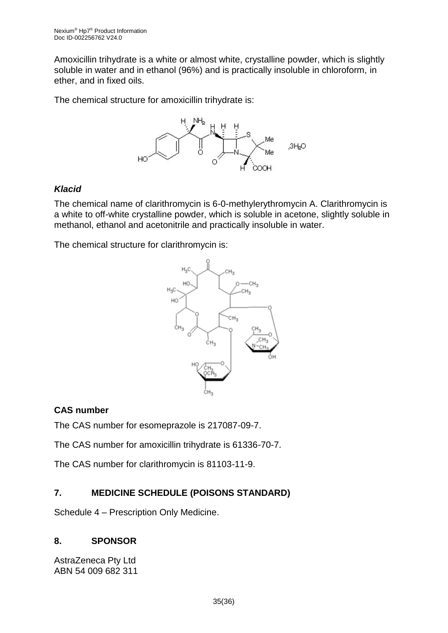Amoxicillin trihydrate is a white or almost white, crystalline powder, which is slightly soluble in water and in ethanol (96%) and is practically insoluble in chloroform, in ether, and in fixed oils.

The chemical structure for amoxicillin trihydrate is:



## *Klacid*

The chemical name of clarithromycin is 6-0-methylerythromycin A. Clarithromycin is a white to off-white crystalline powder, which is soluble in acetone, slightly soluble in methanol, ethanol and acetonitrile and practically insoluble in water.

The chemical structure for clarithromycin is:



## **CAS number**

The CAS number for esomeprazole is 217087-09-7.

The CAS number for amoxicillin trihydrate is 61336-70-7.

The CAS number for clarithromycin is 81103-11-9.

## **7. MEDICINE SCHEDULE (POISONS STANDARD)**

Schedule 4 – Prescription Only Medicine.

## **8. SPONSOR**

AstraZeneca Pty Ltd ABN 54 009 682 311